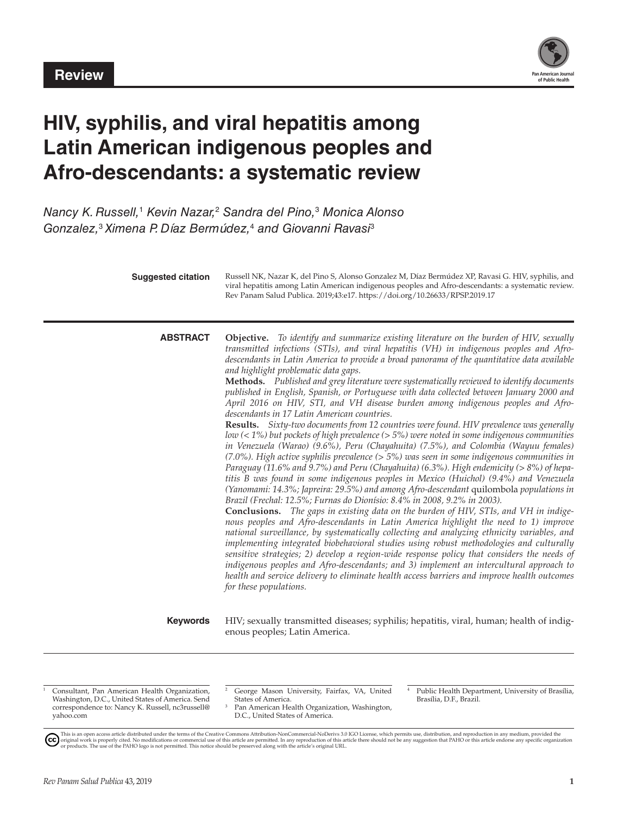

# **HIV, syphilis, and viral hepatitis among Latin American indigenous peoples and Afro-descendants: a systematic review**

*Nancy K. Russell,*<sup>1</sup>  *Kevin Nazar,*<sup>2</sup>  *Sandra del Pino,*<sup>3</sup>  *Monica Alonso Gonzalez,*<sup>3</sup> *Ximena P. Díaz Bermúdez,*<sup>4</sup>  *and Giovanni Ravasi*<sup>3</sup>

| <b>Suggested citation</b> | Russell NK, Nazar K, del Pino S, Alonso Gonzalez M, Díaz Bermúdez XP, Ravasi G. HIV, syphilis, and<br>viral hepatitis among Latin American indigenous peoples and Afro-descendants: a systematic review.<br>Rev Panam Salud Publica. 2019;43:e17. https://doi.org/10.26633/RPSP.2019.17                                                                                                                                                                                                                                                                                                                                                                                                                                                                                                                                                                                                                                                                                                                                                                                                                                                                                                                                                                                                                                                                                                                                                                                                                                                                                                                                                                                                                                                                                                                                                                                                                                                                                                                                                                                                                                |
|---------------------------|------------------------------------------------------------------------------------------------------------------------------------------------------------------------------------------------------------------------------------------------------------------------------------------------------------------------------------------------------------------------------------------------------------------------------------------------------------------------------------------------------------------------------------------------------------------------------------------------------------------------------------------------------------------------------------------------------------------------------------------------------------------------------------------------------------------------------------------------------------------------------------------------------------------------------------------------------------------------------------------------------------------------------------------------------------------------------------------------------------------------------------------------------------------------------------------------------------------------------------------------------------------------------------------------------------------------------------------------------------------------------------------------------------------------------------------------------------------------------------------------------------------------------------------------------------------------------------------------------------------------------------------------------------------------------------------------------------------------------------------------------------------------------------------------------------------------------------------------------------------------------------------------------------------------------------------------------------------------------------------------------------------------------------------------------------------------------------------------------------------------|
| <b>ABSTRACT</b>           | <b>Objective.</b> To identify and summarize existing literature on the burden of HIV, sexually<br>transmitted infections (STIs), and viral hepatitis (VH) in indigenous peoples and Afro-<br>descendants in Latin America to provide a broad panorama of the quantitative data available<br>and highlight problematic data gaps.<br>Methods. Published and grey literature were systematically reviewed to identify documents<br>published in English, Spanish, or Portuguese with data collected between January 2000 and<br>April 2016 on HIV, STI, and VH disease burden among indigenous peoples and Afro-<br>descendants in 17 Latin American countries.<br>Results. Sixty-two documents from 12 countries were found. HIV prevalence was generally<br>low $(< 1\%)$ but pockets of high prevalence $(> 5\%)$ were noted in some indigenous communities<br>in Venezuela (Warao) (9.6%), Peru (Chayahuita) (7.5%), and Colombia (Wayuu females)<br>$(7.0\%)$ . High active syphilis prevalence $(> 5\%)$ was seen in some indigenous communities in<br>Paraguay (11.6% and 9.7%) and Peru (Chayahuita) (6.3%). High endemicity ( $> 8\%$ ) of hepa-<br>titis B was found in some indigenous peoples in Mexico (Huichol) (9.4%) and Venezuela<br>(Yanomami: 14.3%; Japreira: 29.5%) and among Afro-descendant quilombola populations in<br>Brazil (Frechal: 12.5%; Furnas do Dionísio: 8.4% in 2008, 9.2% in 2003).<br><b>Conclusions.</b> The gaps in existing data on the burden of HIV, STIs, and VH in indige-<br>nous peoples and Afro-descendants in Latin America highlight the need to 1) improve<br>national surveillance, by systematically collecting and analyzing ethnicity variables, and<br>implementing integrated biobehavioral studies using robust methodologies and culturally<br>sensitive strategies; 2) develop a region-wide response policy that considers the needs of<br>indigenous peoples and Afro-descendants; and 3) implement an intercultural approach to<br>health and service delivery to eliminate health access barriers and improve health outcomes<br>for these populations. |
| <b>Keywords</b>           | HIV; sexually transmitted diseases; syphilis; hepatitis, viral, human; health of indig-<br>enous peoples; Latin America.                                                                                                                                                                                                                                                                                                                                                                                                                                                                                                                                                                                                                                                                                                                                                                                                                                                                                                                                                                                                                                                                                                                                                                                                                                                                                                                                                                                                                                                                                                                                                                                                                                                                                                                                                                                                                                                                                                                                                                                               |

<sup>1</sup> Consultant, Pan American Health Organization, Washington, D.C., United States of America. Send correspondence to: Nancy K. Russell, [nc3russell@](mailto:nc3russell@yahoo.com) [yahoo.com](mailto:nc3russell@yahoo.com)

- <sup>2</sup> George Mason University, Fairfax, VA, United States of America. <sup>3</sup> Pan American Health Organization, Washington,
- D.C., United States of America.
- <sup>4</sup> Public Health Department, University of Brasília, Brasília, D.F., Brazil.

This is an open access article distributed under the terms of the Creative Commons Attribution-NonCommercial-NoDerivs 3.0 IGO License, which permits use, distribution, and reproduction in any medium, provided the<br>orignal w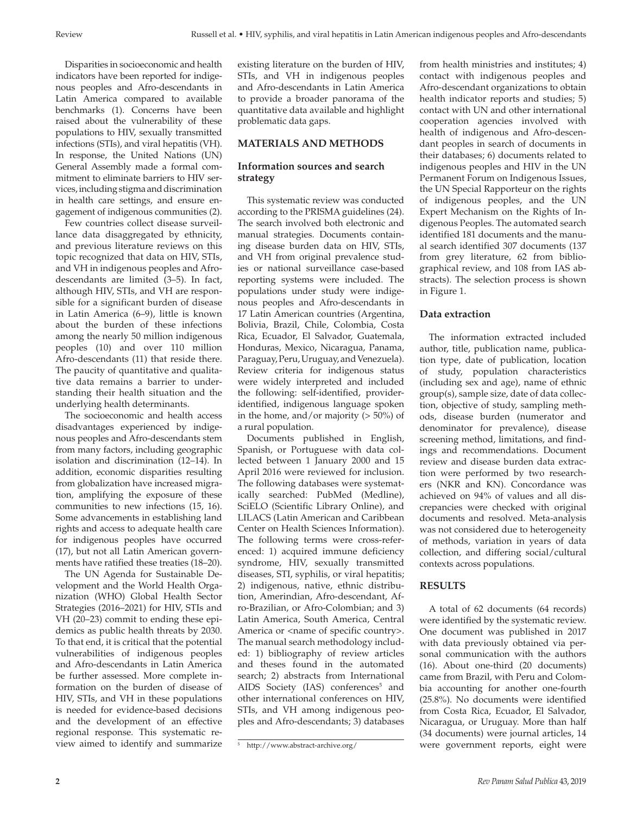Disparities in socioeconomic and health indicators have been reported for indigenous peoples and Afro-descendants in Latin America compared to available benchmarks (1). Concerns have been raised about the vulnerability of these populations to HIV, sexually transmitted infections (STIs), and viral hepatitis (VH). In response, the United Nations (UN) General Assembly made a formal commitment to eliminate barriers to HIV services, including stigma and discrimination in health care settings, and ensure engagement of indigenous communities (2).

Few countries collect disease surveillance data disaggregated by ethnicity, and previous literature reviews on this topic recognized that data on HIV, STIs, and VH in indigenous peoples and Afrodescendants are limited (3–5). In fact, although HIV, STIs, and VH are responsible for a significant burden of disease in Latin America (6–9), little is known about the burden of these infections among the nearly 50 million indigenous peoples (10) and over 110 million Afro-descendants (11) that reside there. The paucity of quantitative and qualitative data remains a barrier to understanding their health situation and the underlying health determinants.

The socioeconomic and health access disadvantages experienced by indigenous peoples and Afro-descendants stem from many factors, including geographic isolation and discrimination (12–14). In addition, economic disparities resulting from globalization have increased migration, amplifying the exposure of these communities to new infections (15, 16). Some advancements in establishing land rights and access to adequate health care for indigenous peoples have occurred (17), but not all Latin American governments have ratified these treaties (18–20).

The UN Agenda for Sustainable Development and the World Health Organization (WHO) Global Health Sector Strategies (2016–2021) for HIV, STIs and VH (20–23) commit to ending these epidemics as public health threats by 2030. To that end, it is critical that the potential vulnerabilities of indigenous peoples and Afro-descendants in Latin America be further assessed. More complete information on the burden of disease of HIV, STIs, and VH in these populations is needed for evidence-based decisions and the development of an effective regional response. This systematic review aimed to identify and summarize

existing literature on the burden of HIV, STIs, and VH in indigenous peoples and Afro-descendants in Latin America to provide a broader panorama of the quantitative data available and highlight problematic data gaps.

### **MATERIALS AND METHODS**

# **Information sources and search strategy**

This systematic review was conducted according to the PRISMA guidelines (24). The search involved both electronic and manual strategies. Documents containing disease burden data on HIV, STIs, and VH from original prevalence studies or national surveillance case-based reporting systems were included. The populations under study were indigenous peoples and Afro-descendants in 17 Latin American countries (Argentina, Bolivia, Brazil, Chile, Colombia, Costa Rica, Ecuador, El Salvador, Guatemala, Honduras, Mexico, Nicaragua, Panama, Paraguay, Peru, Uruguay, and Venezuela). Review criteria for indigenous status were widely interpreted and included the following: self-identified, provideridentified, indigenous language spoken in the home, and/or majority (> 50%) of a rural population.

Documents published in English, Spanish, or Portuguese with data collected between 1 January 2000 and 15 April 2016 were reviewed for inclusion. The following databases were systematically searched: PubMed (Medline), SciELO (Scientific Library Online), and LILACS (Latin American and Caribbean Center on Health Sciences Information). The following terms were cross-referenced: 1) acquired immune deficiency syndrome, HIV, sexually transmitted diseases, STI, syphilis, or viral hepatitis; 2) indigenous, native, ethnic distribution, Amerindian, Afro-descendant, Afro-Brazilian, or Afro-Colombian; and 3) Latin America, South America, Central America or <name of specific country>. The manual search methodology included: 1) bibliography of review articles and theses found in the automated search; 2) abstracts from International AIDS Society (IAS) conferences<sup>5</sup> and other international conferences on HIV, STIs, and VH among indigenous peoples and Afro-descendants; 3) databases

from health ministries and institutes; 4) contact with indigenous peoples and Afro-descendant organizations to obtain health indicator reports and studies; 5) contact with UN and other international cooperation agencies involved with health of indigenous and Afro-descendant peoples in search of documents in their databases; 6) documents related to indigenous peoples and HIV in the UN Permanent Forum on Indigenous Issues, the UN Special Rapporteur on the rights of indigenous peoples, and the UN Expert Mechanism on the Rights of Indigenous Peoples. The automated search identified 181 documents and the manual search identified 307 documents (137 from grey literature, 62 from bibliographical review, and 108 from IAS abstracts). The selection process is shown in Figure 1.

#### **Data extraction**

The information extracted included author, title, publication name, publication type, date of publication, location of study, population characteristics (including sex and age), name of ethnic group(s), sample size, date of data collection, objective of study, sampling methods, disease burden (numerator and denominator for prevalence), disease screening method, limitations, and findings and recommendations. Document review and disease burden data extraction were performed by two researchers (NKR and KN). Concordance was achieved on 94% of values and all discrepancies were checked with original documents and resolved. Meta-analysis was not considered due to heterogeneity of methods, variation in years of data collection, and differing social/cultural contexts across populations.

#### **RESULTS**

A total of 62 documents (64 records) were identified by the systematic review. One document was published in 2017 with data previously obtained via personal communication with the authors (16). About one-third (20 documents) came from Brazil, with Peru and Colombia accounting for another one-fourth (25.8%). No documents were identified from Costa Rica, Ecuador, El Salvador, Nicaragua, or Uruguay. More than half (34 documents) were journal articles, 14 were government reports, eight were

<sup>5</sup> <http://www.abstract-archive.org/>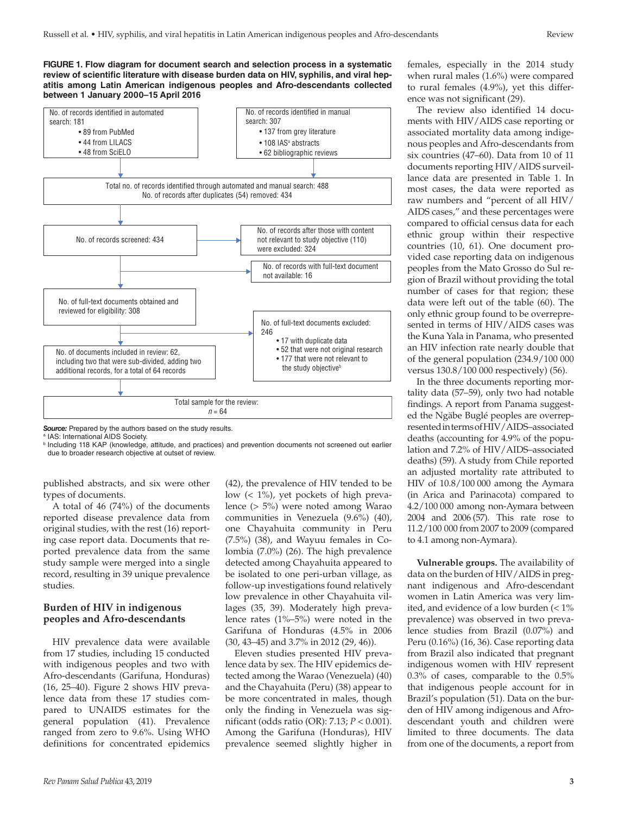**FIGURE 1. Flow diagram for document search and selection process in a systematic review of scientific literature with disease burden data on HIV, syphilis, and viral hepatitis among Latin American indigenous peoples and Afro-descendants collected between 1 January 2000–15 April 2016**



**Source:** Prepared by the authors based on the study results.

<sup>a</sup> IAS: International AIDS Society.

<sup>b</sup> Including 118 KAP (knowledge, attitude, and practices) and prevention documents not screened out earlier due to broader research objective at outset of review.

published abstracts, and six were other types of documents.

A total of 46 (74%) of the documents reported disease prevalence data from original studies, with the rest (16) reporting case report data. Documents that reported prevalence data from the same study sample were merged into a single record, resulting in 39 unique prevalence studies.

# **Burden of HIV in indigenous peoples and Afro-descendants**

HIV prevalence data were available from 17 studies, including 15 conducted with indigenous peoples and two with Afro-descendants (Garifuna, Honduras) (16, 25–40). Figure 2 shows HIV prevalence data from these 17 studies compared to UNAIDS estimates for the general population (41). Prevalence ranged from zero to 9.6%. Using WHO definitions for concentrated epidemics

(42), the prevalence of HIV tended to be low (< 1%), yet pockets of high prevalence (> 5%) were noted among Warao communities in Venezuela (9.6%) (40), one Chayahuita community in Peru (7.5%) (38), and Wayuu females in Colombia (7.0%) (26). The high prevalence detected among Chayahuita appeared to be isolated to one peri-urban village, as follow-up investigations found relatively low prevalence in other Chayahuita villages (35, 39). Moderately high prevalence rates (1%–5%) were noted in the Garifuna of Honduras (4.5% in 2006 (30, 43–45) and 3.7% in 2012 (29, 46)).

Eleven studies presented HIV prevalence data by sex. The HIV epidemics detected among the Warao (Venezuela) (40) and the Chayahuita (Peru) (38) appear to be more concentrated in males, though only the finding in Venezuela was significant (odds ratio (OR): 7.13; *P* < 0.001). Among the Garifuna (Honduras), HIV prevalence seemed slightly higher in

females, especially in the 2014 study when rural males (1.6%) were compared to rural females (4.9%), yet this difference was not significant (29).

The review also identified 14 documents with HIV/AIDS case reporting or associated mortality data among indigenous peoples and Afro-descendants from six countries (47–60). Data from 10 of 11 documents reporting HIV/AIDS surveillance data are presented in Table 1. In most cases, the data were reported as raw numbers and "percent of all HIV/ AIDS cases," and these percentages were compared to official census data for each ethnic group within their respective countries (10, 61). One document provided case reporting data on indigenous peoples from the Mato Grosso do Sul region of Brazil without providing the total number of cases for that region; these data were left out of the table (60). The only ethnic group found to be overrepresented in terms of HIV/AIDS cases was the Kuna Yala in Panama, who presented an HIV infection rate nearly double that of the general population (234.9/100 000 versus 130.8/100 000 respectively) (56).

In the three documents reporting mortality data (57–59), only two had notable findings. A report from Panama suggested the Ngäbe Buglé peoples are overrepresented in terms of HIV/AIDS–associated deaths (accounting for 4.9% of the population and 7.2% of HIV/AIDS–associated deaths) (59). A study from Chile reported an adjusted mortality rate attributed to HIV of 10.8/100 000 among the Aymara (in Arica and Parinacota) compared to 4.2/100 000 among non-Aymara between 2004 and 2006 (57). This rate rose to 11.2/100 000 from 2007 to 2009 (compared to 4.1 among non-Aymara).

**Vulnerable groups.** The availability of data on the burden of HIV/AIDS in pregnant indigenous and Afro-descendant women in Latin America was very limited, and evidence of a low burden  $(< 1\%$ prevalence) was observed in two prevalence studies from Brazil (0.07%) and Peru (0.16%) (16, 36). Case reporting data from Brazil also indicated that pregnant indigenous women with HIV represent 0.3% of cases, comparable to the 0.5% that indigenous people account for in Brazil's population (51). Data on the burden of HIV among indigenous and Afrodescendant youth and children were limited to three documents. The data from one of the documents, a report from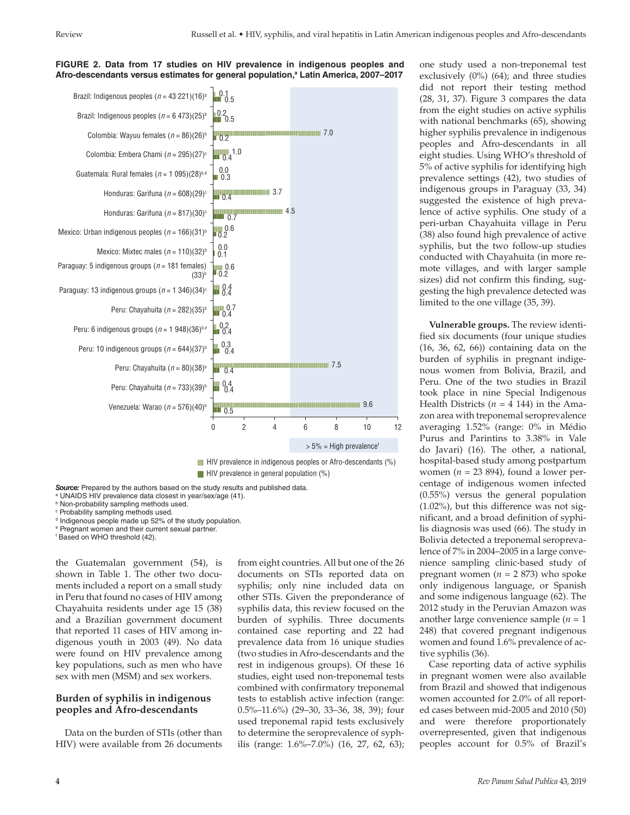

#### **FIGURE 2. Data from 17 studies on HIV prevalence in indigenous peoples and Afro-descendants versus estimates for general population,a Latin America, 2007–2017**

**HIV** prevalence in indigenous peoples or Afro-descendants (%)  $\blacksquare$  HIV prevalence in general population  $(\%)$ 

*Source:* Prepared by the authors based on the study results and published data.

a UNAIDS HIV prevalence data closest in year/sex/age (41).

**b** Non-probability sampling methods used.

c Probability sampling methods used.

<sup>d</sup> Indigenous people made up 52% of the study population.

e Pregnant women and their current sexual partner.

f Based on WHO threshold (42).

the Guatemalan government (54), is shown in Table 1. The other two documents included a report on a small study in Peru that found no cases of HIV among Chayahuita residents under age 15 (38) and a Brazilian government document that reported 11 cases of HIV among indigenous youth in 2003 (49). No data were found on HIV prevalence among key populations, such as men who have sex with men (MSM) and sex workers.

# **Burden of syphilis in indigenous peoples and Afro-descendants**

Data on the burden of STIs (other than HIV) were available from 26 documents from eight countries. All but one of the 26 documents on STIs reported data on syphilis; only nine included data on other STIs. Given the preponderance of syphilis data, this review focused on the burden of syphilis. Three documents contained case reporting and 22 had prevalence data from 16 unique studies (two studies in Afro-descendants and the rest in indigenous groups). Of these 16 studies, eight used non-treponemal tests combined with confirmatory treponemal tests to establish active infection (range: 0.5%–11.6%) (29–30, 33–36, 38, 39); four used treponemal rapid tests exclusively to determine the seroprevalence of syphilis (range: 1.6%–7.0%) (16, 27, 62, 63); one study used a non-treponemal test exclusively  $(0\%)$   $(64)$ ; and three studies did not report their testing method (28, 31, 37). Figure 3 compares the data from the eight studies on active syphilis with national benchmarks (65), showing higher syphilis prevalence in indigenous peoples and Afro-descendants in all eight studies. Using WHO's threshold of 5% of active syphilis for identifying high prevalence settings (42), two studies of indigenous groups in Paraguay (33, 34) suggested the existence of high prevalence of active syphilis. One study of a peri-urban Chayahuita village in Peru (38) also found high prevalence of active syphilis, but the two follow-up studies conducted with Chayahuita (in more remote villages, and with larger sample sizes) did not confirm this finding, suggesting the high prevalence detected was limited to the one village (35, 39).

**Vulnerable groups.** The review identified six documents (four unique studies (16, 36, 62, 66)) containing data on the burden of syphilis in pregnant indigenous women from Bolivia, Brazil, and Peru. One of the two studies in Brazil took place in nine Special Indigenous Health Districts ( $n = 4$  144) in the Amazon area with treponemal seroprevalence averaging 1.52% (range: 0% in Médio Purus and Parintins to 3.38% in Vale do Javari) (16). The other, a national, hospital-based study among postpartum women (*n* = 23 894), found a lower percentage of indigenous women infected (0.55%) versus the general population (1.02%), but this difference was not significant, and a broad definition of syphilis diagnosis was used (66). The study in Bolivia detected a treponemal seroprevalence of 7% in 2004–2005 in a large convenience sampling clinic-based study of pregnant women (*n* = 2 873) who spoke only indigenous language, or Spanish and some indigenous language (62). The 2012 study in the Peruvian Amazon was another large convenience sample (*n* = 1 248) that covered pregnant indigenous women and found 1.6% prevalence of active syphilis (36).

Case reporting data of active syphilis in pregnant women were also available from Brazil and showed that indigenous women accounted for 2.0% of all reported cases between mid-2005 and 2010 (50) and were therefore proportionately overrepresented, given that indigenous peoples account for 0.5% of Brazil's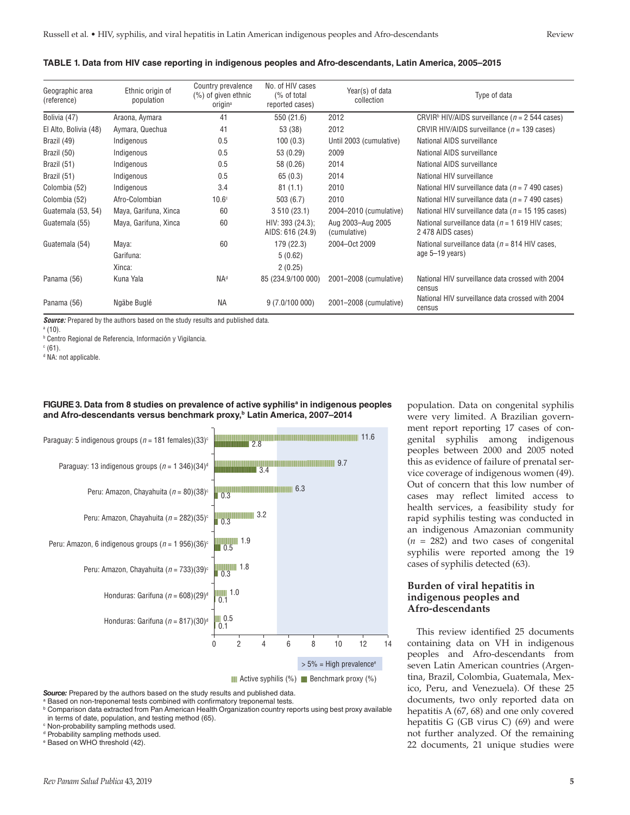#### **TABLE 1. Data from HIV case reporting in indigenous peoples and Afro-descendants, Latin America, 2005–2015**

| Geographic area<br>(reference) | Ethnic origin of<br>population | Country prevalence<br>$(\%)$ of given ethnic<br>origin <sup>a</sup> | No. of HIV cases<br>(% of total)<br>reported cases) | Year(s) of data<br>collection     | Type of data                                                            |
|--------------------------------|--------------------------------|---------------------------------------------------------------------|-----------------------------------------------------|-----------------------------------|-------------------------------------------------------------------------|
| Bolivia (47)                   | Araona, Aymara                 | 41                                                                  | 550 (21.6)                                          | 2012                              | CRVIR <sup>b</sup> HIV/AIDS surveillance ( $n = 2544$ cases)            |
| El Alto, Bolivia (48)          | Aymara, Quechua                | 41                                                                  | 53 (38)                                             | 2012                              | CRVIR HIV/AIDS surveillance ( $n = 139$ cases)                          |
| Brazil (49)                    | Indigenous                     | 0.5                                                                 | 100(0.3)                                            | Until 2003 (cumulative)           | National AIDS surveillance                                              |
| Brazil (50)                    | Indigenous                     | 0.5                                                                 | 53 (0.29)                                           | 2009                              | National AIDS surveillance                                              |
| Brazil (51)                    | Indigenous                     | 0.5                                                                 | 58 (0.26)                                           | 2014                              | National AIDS surveillance                                              |
| Brazil (51)                    | Indigenous                     | 0.5                                                                 | 65(0.3)                                             | 2014                              | National HIV surveillance                                               |
| Colombia (52)                  | Indigenous                     | 3.4                                                                 | 81(1.1)                                             | 2010                              | National HIV surveillance data ( $n = 7$ 490 cases)                     |
| Colombia (52)                  | Afro-Colombian                 | 10.6 <sup>c</sup>                                                   | 503(6.7)                                            | 2010                              | National HIV surveillance data ( $n = 7$ 490 cases)                     |
| Guatemala (53, 54)             | Maya, Garifuna, Xinca          | 60                                                                  | 3510(23.1)                                          | 2004-2010 (cumulative)            | National HIV surveillance data ( $n = 15$ 195 cases)                    |
| Guatemala (55)                 | Maya, Garifuna, Xinca          | 60                                                                  | HIV: 393 (24.3);<br>AIDS: 616 (24.9)                | Aug 2003-Aug 2005<br>(cumulative) | National surveillance data ( $n = 1619$ HIV cases;<br>2 478 AIDS cases) |
| Guatemala (54)                 | Maya:                          | 60                                                                  | 179 (22.3)                                          | 2004-Oct 2009                     | National surveillance data ( $n = 814$ HIV cases,                       |
|                                | Garifuna:                      |                                                                     | 5(0.62)                                             |                                   | age 5–19 years)                                                         |
|                                | Xinca:                         |                                                                     | 2(0.25)                                             |                                   |                                                                         |
| Panama (56)                    | Kuna Yala                      | <b>NAd</b>                                                          | 85 (234.9/100 000)                                  | 2001-2008 (cumulative)            | National HIV surveillance data crossed with 2004<br>census              |
| Panama (56)                    | Ngäbe Buglé                    | <b>NA</b>                                                           | 9(7.0/100000)                                       | 2001-2008 (cumulative)            | National HIV surveillance data crossed with 2004<br>census              |

*Source:* Prepared by the authors based on the study results and published data.

a (10).

b Centro Regional de Referencia, Información y Vigilancia.

 $\degree$  (61).

<sup>d</sup> NA: not applicable.



#### **FIGURE 3. Data from 8 studies on prevalence of active syphilisa in indigenous peoples and Afro-descendants versus benchmark proxy,b Latin America, 2007–2014**

**Source:** Prepared by the authors based on the study results and published data.

a Based on non-treponemal tests combined with confirmatory treponemal tests.

<sup>d</sup> Probability sampling methods used.

e Based on WHO threshold (42).

population. Data on congenital syphilis were very limited. A Brazilian government report reporting 17 cases of congenital syphilis among indigenous peoples between 2000 and 2005 noted this as evidence of failure of prenatal service coverage of indigenous women (49). Out of concern that this low number of cases may reflect limited access to health services, a feasibility study for rapid syphilis testing was conducted in an indigenous Amazonian community  $(n = 282)$  and two cases of congenital syphilis were reported among the 19 cases of syphilis detected (63).

### **Burden of viral hepatitis in indigenous peoples and Afro-descendants**

This review identified 25 documents containing data on VH in indigenous peoples and Afro-descendants from seven Latin American countries (Argentina, Brazil, Colombia, Guatemala, Mexico, Peru, and Venezuela). Of these 25 documents, two only reported data on hepatitis A (67, 68) and one only covered hepatitis G (GB virus C) (69) and were not further analyzed. Of the remaining 22 documents, 21 unique studies were

**b Comparison data extracted from Pan American Health Organization country reports using best proxy available** 

in terms of date, population, and testing method (65). c Non-probability sampling methods used.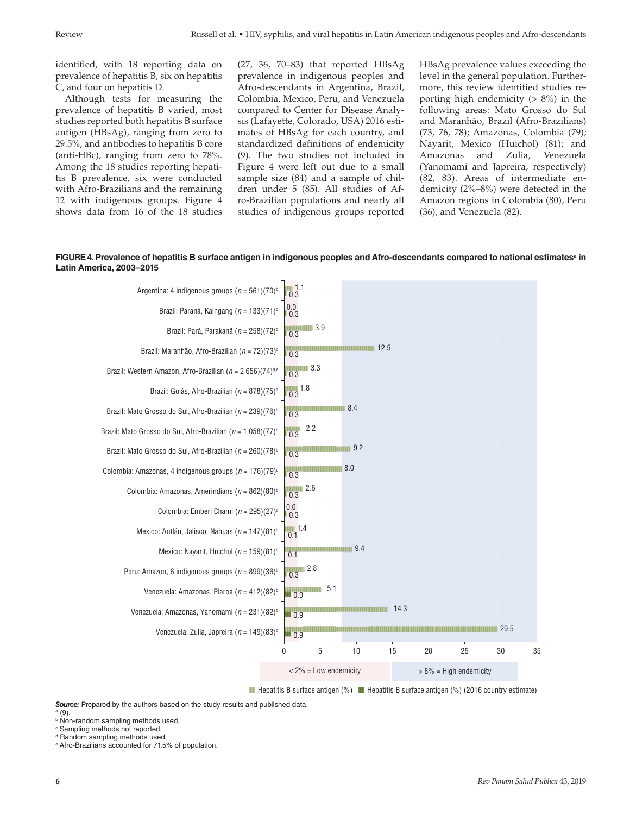identified, with 18 reporting data on prevalence of hepatitis B, six on hepatitis C, and four on hepatitis D.

Although tests for measuring the prevalence of hepatitis B varied, most studies reported both hepatitis B surface antigen (HBsAg), ranging from zero to 29.5%, and antibodies to hepatitis B core (anti-HBc), ranging from zero to 78%. Among the 18 studies reporting hepatitis B prevalence, six were conducted with Afro-Brazilians and the remaining 12 with indigenous groups. Figure 4 shows data from 16 of the 18 studies (27, 36, 70–83) that reported HBsAg prevalence in indigenous peoples and Afro-descendants in Argentina, Brazil, Colombia, Mexico, Peru, and Venezuela compared to Center for Disease Analysis (Lafayette, Colorado, USA) 2016 estimates of HBsAg for each country, and standardized definitions of endemicity (9). The two studies not included in Figure 4 were left out due to a small sample size (84) and a sample of children under 5 (85). All studies of Afro-Brazilian populations and nearly all studies of indigenous groups reported

HBsAg prevalence values exceeding the level in the general population. Furthermore, this review identified studies reporting high endemicity  $(> 8\%)$  in the following areas: Mato Grosso do Sul and Maranhão, Brazil (Afro-Brazilians) (73, 76, 78); Amazonas, Colombia (79); Nayarit, Mexico (Huichol) (81); and Amazonas and Zulia, Venezuela (Yanomami and Japreira, respectively) (82, 83). Areas of intermediate endemicity (2%–8%) were detected in the Amazon regions in Colombia (80), Peru (36), and Venezuela (82).

#### FIGURE 4. Prevalence of hepatitis B surface antigen in indigenous peoples and Afro-descendants compared to national estimatesª in **Latin America, 2003–2015**



**Hepatitis B surface antigen (%) Hepatitis B surface antigen (%) (2016 country estimate)** 

*Source:* Prepared by the authors based on the study results and published data. a (9).

- **b** Non-random sampling methods used.
- c Sampling methods not reported.
- <sup>d</sup> Random sampling methods used.

e Afro-Brazilians accounted for 71.5% of population.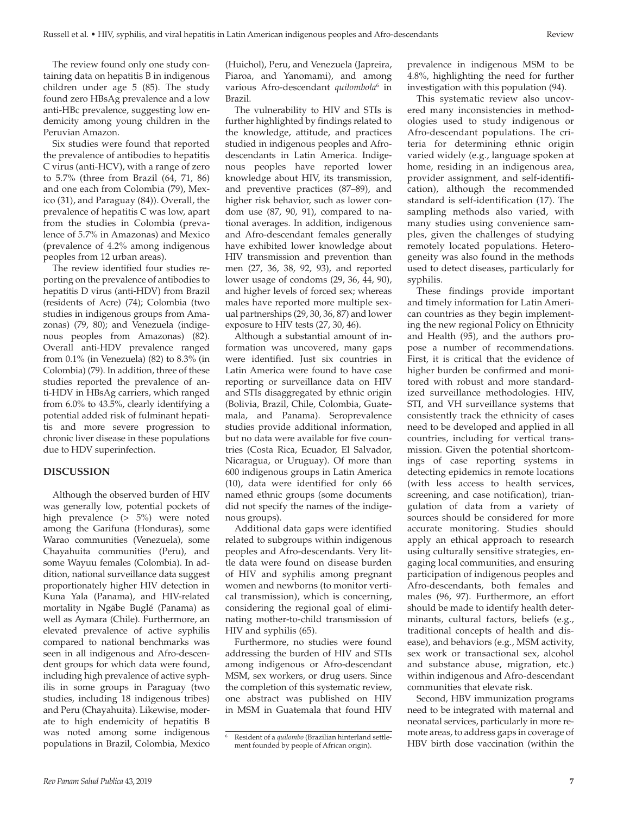The review found only one study containing data on hepatitis B in indigenous children under age 5 (85). The study found zero HBsAg prevalence and a low anti-HBc prevalence, suggesting low endemicity among young children in the Peruvian Amazon.

Six studies were found that reported the prevalence of antibodies to hepatitis C virus (anti-HCV), with a range of zero to 5.7% (three from Brazil (64, 71, 86) and one each from Colombia (79), Mexico (31), and Paraguay (84)). Overall, the prevalence of hepatitis C was low, apart from the studies in Colombia (prevalence of 5.7% in Amazonas) and Mexico (prevalence of 4.2% among indigenous peoples from 12 urban areas).

The review identified four studies reporting on the prevalence of antibodies to hepatitis D virus (anti-HDV) from Brazil (residents of Acre) (74); Colombia (two studies in indigenous groups from Amazonas) (79, 80); and Venezuela (indigenous peoples from Amazonas) (82). Overall anti-HDV prevalence ranged from 0.1% (in Venezuela) (82) to 8.3% (in Colombia) (79). In addition, three of these studies reported the prevalence of anti-HDV in HBsAg carriers, which ranged from 6.0% to 43.5%, clearly identifying a potential added risk of fulminant hepatitis and more severe progression to chronic liver disease in these populations due to HDV superinfection.

#### **DISCUSSION**

Although the observed burden of HIV was generally low, potential pockets of high prevalence (> 5%) were noted among the Garifuna (Honduras), some Warao communities (Venezuela), some Chayahuita communities (Peru), and some Wayuu females (Colombia). In addition, national surveillance data suggest proportionately higher HIV detection in Kuna Yala (Panama), and HIV-related mortality in Ngäbe Buglé (Panama) as well as Aymara (Chile). Furthermore, an elevated prevalence of active syphilis compared to national benchmarks was seen in all indigenous and Afro-descendent groups for which data were found, including high prevalence of active syphilis in some groups in Paraguay (two studies, including 18 indigenous tribes) and Peru (Chayahuita). Likewise, moderate to high endemicity of hepatitis B was noted among some indigenous populations in Brazil, Colombia, Mexico

(Huichol), Peru, and Venezuela (Japreira, Piaroa, and Yanomami), and among various Afro-descendant *quilombola*<sup>6</sup> in Brazil.

The vulnerability to HIV and STIs is further highlighted by findings related to the knowledge, attitude, and practices studied in indigenous peoples and Afrodescendants in Latin America. Indigenous peoples have reported lower knowledge about HIV, its transmission, and preventive practices (87–89), and higher risk behavior, such as lower condom use (87, 90, 91), compared to national averages. In addition, indigenous and Afro-descendant females generally have exhibited lower knowledge about HIV transmission and prevention than men (27, 36, 38, 92, 93), and reported lower usage of condoms (29, 36, 44, 90), and higher levels of forced sex; whereas males have reported more multiple sexual partnerships (29, 30, 36, 87) and lower exposure to HIV tests (27, 30, 46).

Although a substantial amount of information was uncovered, many gaps were identified. Just six countries in Latin America were found to have case reporting or surveillance data on HIV and STIs disaggregated by ethnic origin (Bolivia, Brazil, Chile, Colombia, Guatemala, and Panama). Seroprevalence studies provide additional information, but no data were available for five countries (Costa Rica, Ecuador, El Salvador, Nicaragua, or Uruguay). Of more than 600 indigenous groups in Latin America (10), data were identified for only 66 named ethnic groups (some documents did not specify the names of the indigenous groups).

Additional data gaps were identified related to subgroups within indigenous peoples and Afro-descendants. Very little data were found on disease burden of HIV and syphilis among pregnant women and newborns (to monitor vertical transmission), which is concerning, considering the regional goal of eliminating mother-to-child transmission of HIV and syphilis (65).

Furthermore, no studies were found addressing the burden of HIV and STIs among indigenous or Afro-descendant MSM, sex workers, or drug users. Since the completion of this systematic review, one abstract was published on HIV in MSM in Guatemala that found HIV prevalence in indigenous MSM to be 4.8%, highlighting the need for further investigation with this population (94).

This systematic review also uncovered many inconsistencies in methodologies used to study indigenous or Afro-descendant populations. The criteria for determining ethnic origin varied widely (e.g., language spoken at home, residing in an indigenous area, provider assignment, and self-identification), although the recommended standard is self-identification (17). The sampling methods also varied, with many studies using convenience samples, given the challenges of studying remotely located populations. Heterogeneity was also found in the methods used to detect diseases, particularly for syphilis.

These findings provide important and timely information for Latin American countries as they begin implementing the new regional Policy on Ethnicity and Health (95), and the authors propose a number of recommendations. First, it is critical that the evidence of higher burden be confirmed and monitored with robust and more standardized surveillance methodologies. HIV, STI, and VH surveillance systems that consistently track the ethnicity of cases need to be developed and applied in all countries, including for vertical transmission. Given the potential shortcomings of case reporting systems in detecting epidemics in remote locations (with less access to health services, screening, and case notification), triangulation of data from a variety of sources should be considered for more accurate monitoring. Studies should apply an ethical approach to research using culturally sensitive strategies, engaging local communities, and ensuring participation of indigenous peoples and Afro-descendants, both females and males (96, 97). Furthermore, an effort should be made to identify health determinants, cultural factors, beliefs (e.g., traditional concepts of health and disease), and behaviors (e.g., MSM activity, sex work or transactional sex, alcohol and substance abuse, migration, etc.) within indigenous and Afro-descendant communities that elevate risk.

Second, HBV immunization programs need to be integrated with maternal and neonatal services, particularly in more remote areas, to address gaps in coverage of HBV birth dose vaccination (within the

<sup>6</sup> Resident of a *quilombo* (Brazilian hinterland settlement founded by people of African origin).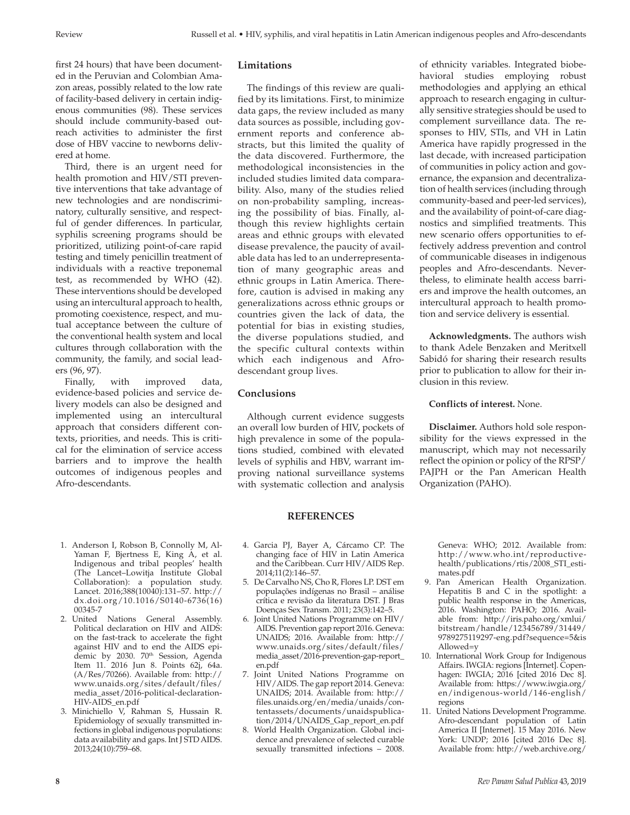first 24 hours) that have been documented in the Peruvian and Colombian Amazon areas, possibly related to the low rate of facility-based delivery in certain indigenous communities (98). These services should include community-based outreach activities to administer the first dose of HBV vaccine to newborns delivered at home.

Third, there is an urgent need for health promotion and HIV/STI preventive interventions that take advantage of new technologies and are nondiscriminatory, culturally sensitive, and respectful of gender differences. In particular, syphilis screening programs should be prioritized, utilizing point-of-care rapid testing and timely penicillin treatment of individuals with a reactive treponemal test, as recommended by WHO (42). These interventions should be developed using an intercultural approach to health, promoting coexistence, respect, and mutual acceptance between the culture of the conventional health system and local cultures through collaboration with the community, the family, and social leaders (96, 97).

Finally, with improved data, evidence-based policies and service delivery models can also be designed and implemented using an intercultural approach that considers different contexts, priorities, and needs. This is critical for the elimination of service access barriers and to improve the health outcomes of indigenous peoples and Afro-descendants.

- 1. Anderson I, Robson B, Connolly M, Al-Yaman F, Bjertness E, King A, et al. Indigenous and tribal peoples' health (The Lancet–Lowitja Institute Global Collaboration): a population study. Lancet. 2016;388(10040):131–57. [http://](http://dx.doi.org/10.1016/S0140-6736(16)00345-7) [dx.doi.org/10.1016/S0140-6736\(16\)](http://dx.doi.org/10.1016/S0140-6736(16)00345-7) [00345-7](http://dx.doi.org/10.1016/S0140-6736(16)00345-7)
- 2. United Nations General Assembly. Political declaration on HIV and AIDS: on the fast-track to accelerate the fight against HIV and to end the AIDS epidemic by 2030. 70<sup>th</sup> Session, Agenda Item 11. 2016 Jun 8. Points 62j, 64a. (A/Res/70266). Available from: [http://](http://www.unaids.org/sites/default/files/media_asset/2016-political-declaration-HIV-AIDS_en.pdf) [www.unaids.org/sites/default/files/](http://www.unaids.org/sites/default/files/media_asset/2016-political-declaration-HIV-AIDS_en.pdf) [media\\_asset/2016-political-declaration-](http://www.unaids.org/sites/default/files/media_asset/2016-political-declaration-HIV-AIDS_en.pdf)[HIV-AIDS\\_en.pdf](http://www.unaids.org/sites/default/files/media_asset/2016-political-declaration-HIV-AIDS_en.pdf)
- 3. Minichiello V, Rahman S, Hussain R. Epidemiology of sexually transmitted infections in global indigenous populations: data availability and gaps. Int J STD AIDS. 2013;24(10):759–68.

# **Limitations**

The findings of this review are qualified by its limitations. First, to minimize data gaps, the review included as many data sources as possible, including government reports and conference abstracts, but this limited the quality of the data discovered. Furthermore, the methodological inconsistencies in the included studies limited data comparability. Also, many of the studies relied on non-probability sampling, increasing the possibility of bias. Finally, although this review highlights certain areas and ethnic groups with elevated disease prevalence, the paucity of available data has led to an underrepresentation of many geographic areas and ethnic groups in Latin America. Therefore, caution is advised in making any generalizations across ethnic groups or countries given the lack of data, the potential for bias in existing studies, the diverse populations studied, and the specific cultural contexts within which each indigenous and Afrodescendant group lives.

#### **Conclusions**

Although current evidence suggests an overall low burden of HIV, pockets of high prevalence in some of the populations studied, combined with elevated levels of syphilis and HBV, warrant improving national surveillance systems with systematic collection and analysis

of ethnicity variables. Integrated biobehavioral studies employing robust methodologies and applying an ethical approach to research engaging in culturally sensitive strategies should be used to complement surveillance data. The responses to HIV, STIs, and VH in Latin America have rapidly progressed in the last decade, with increased participation of communities in policy action and governance, the expansion and decentralization of health services (including through community-based and peer-led services), and the availability of point-of-care diagnostics and simplified treatments. This new scenario offers opportunities to effectively address prevention and control of communicable diseases in indigenous peoples and Afro-descendants. Nevertheless, to eliminate health access barriers and improve the health outcomes, an intercultural approach to health promotion and service delivery is essential.

**Acknowledgments.** The authors wish to thank Adele Benzaken and Meritxell Sabidó for sharing their research results prior to publication to allow for their inclusion in this review.

#### **Conflicts of interest.** None.

**Disclaimer.** Authors hold sole responsibility for the views expressed in the manuscript, which may not necessarily reflect the opinion or policy of the RPSP/ PAJPH or the Pan American Health Organization (PAHO).

# **REFERENCES**

- 4. Garcia PJ, Bayer A, Cárcamo CP. The changing face of HIV in Latin America and the Caribbean. Curr HIV/AIDS Rep. 2014;11(2):146–57.
- 5. De Carvalho NS, Cho R, Flores LP. DST em populações indígenas no Brasil – análise crítica e revisão da literatura DST. J Bras Doenças Sex Transm. 2011; 23(3):142–5.
- 6. Joint United Nations Programme on HIV/ AIDS. Prevention gap report 2016. Geneva: UNAIDS; 2016. Available from: [http://](http://www.unaids.org/sites/default/files/media_asset/2016-prevention-gap-report_en.pdf) [www.unaids.org/sites/default/files/](http://www.unaids.org/sites/default/files/media_asset/2016-prevention-gap-report_en.pdf) [media\\_asset/2016-prevention-gap-report\\_](http://www.unaids.org/sites/default/files/media_asset/2016-prevention-gap-report_en.pdf) [en.pdf](http://www.unaids.org/sites/default/files/media_asset/2016-prevention-gap-report_en.pdf)
- 7. Joint United Nations Programme on HIV/AIDS. The gap report 2014. Geneva: UNAIDS; 2014. Available from: [http://](http://files.unaids.org/en/media/unaids/contentassets/documents/unaidspublication/2014/UNAIDS_Gap_report_en.pdf) [files.unaids.org/en/media/unaids/con](http://files.unaids.org/en/media/unaids/contentassets/documents/unaidspublication/2014/UNAIDS_Gap_report_en.pdf)[tentassets/documents/unaidspublica](http://files.unaids.org/en/media/unaids/contentassets/documents/unaidspublication/2014/UNAIDS_Gap_report_en.pdf)[tion/2014/UNAIDS\\_Gap\\_report\\_en.pdf](http://files.unaids.org/en/media/unaids/contentassets/documents/unaidspublication/2014/UNAIDS_Gap_report_en.pdf)
- 8. World Health Organization. Global incidence and prevalence of selected curable sexually transmitted infections – 2008.

Geneva: WHO; 2012. Available from: [http://www.who.int/reproductive](http://www.who.int/reproductivehealth/publications/rtis/2008_STI_estimates.pdf)[health/publications/rtis/2008\\_STI\\_esti](http://www.who.int/reproductivehealth/publications/rtis/2008_STI_estimates.pdf)[mates.pdf](http://www.who.int/reproductivehealth/publications/rtis/2008_STI_estimates.pdf)

- 9. Pan American Health Organization. Hepatitis B and C in the spotlight: a public health response in the Americas, 2016. Washington: PAHO; 2016. Available from: [http://iris.paho.org/xmlui/](http://iris.paho.org/xmlui/bitstream/handle/123456789/31449/9789275119297-eng.pdf?sequence=5&isAllowed=y) [bitstream/handle/123456789/31449/](http://iris.paho.org/xmlui/bitstream/handle/123456789/31449/9789275119297-eng.pdf?sequence=5&isAllowed=y) [9789275119297-eng.pdf?sequence=5&is](http://iris.paho.org/xmlui/bitstream/handle/123456789/31449/9789275119297-eng.pdf?sequence=5&isAllowed=y) [Allowed=y](http://iris.paho.org/xmlui/bitstream/handle/123456789/31449/9789275119297-eng.pdf?sequence=5&isAllowed=y)
- 10. International Work Group for Indigenous Affairs. IWGIA: regions [Internet]. Copenhagen: IWGIA; 2016 [cited 2016 Dec 8]. Available from: [https://www.iwgia.org/](https://www.iwgia.org/en/indigenous-world/146-english/regions) [en/indigenous-world/146-english/](https://www.iwgia.org/en/indigenous-world/146-english/regions) [regions](https://www.iwgia.org/en/indigenous-world/146-english/regions)
- 11. United Nations Development Programme. Afro-descendant population of Latin America II [Internet]. 15 May 2016. New York: UNDP; 2016 [cited 2016 Dec 8]. Available from: [http://web.archive.org/](http://web.archive.org/web/20160515163743/http://afrodescendientes-undp.org/page.php?page=1&lang=en)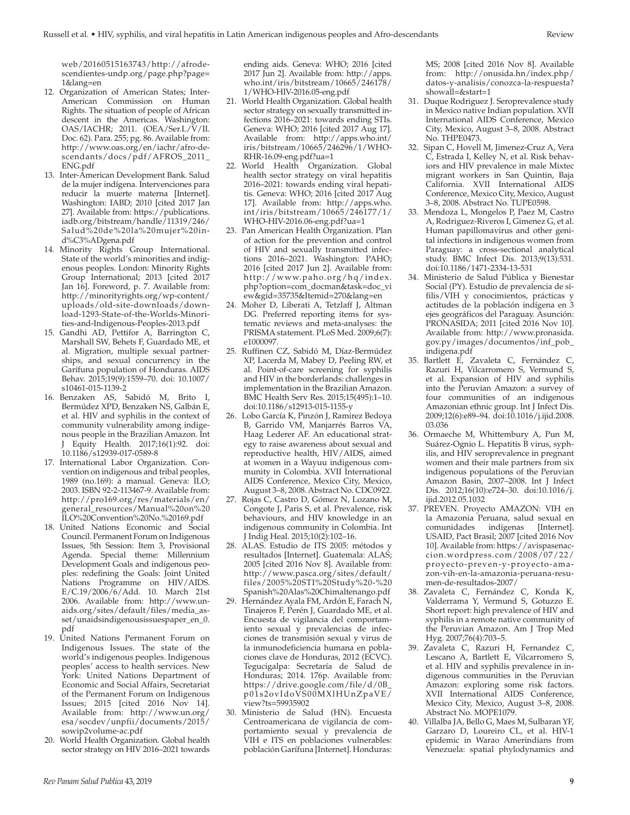[web/20160515163743/http://afrode](http://web.archive.org/web/20160515163743/http://afrodescendientes-undp.org/page.php?page=1&lang=en)[scendientes-undp.org/page.php?page=](http://web.archive.org/web/20160515163743/http://afrodescendientes-undp.org/page.php?page=1&lang=en) [1&lang=en](http://web.archive.org/web/20160515163743/http://afrodescendientes-undp.org/page.php?page=1&lang=en)

- 12. Organization of American States; Inter-American Commission on Human Rights. The situation of people of African descent in the Americas. Washington: OAS/IACHR; 2011. (OEA/Ser.L/V/II. Doc. 62). Para. 255; pg. 86. Available from: [http://www.oas.org/en/iachr/afro-de](http://www.oas.org/en/iachr/afro-descendants/docs/pdf/AFROS_2011_ENG.pdf)[scendants/docs/pdf/AFROS\\_2011\\_](http://www.oas.org/en/iachr/afro-descendants/docs/pdf/AFROS_2011_ENG.pdf) [ENG.pdf](http://www.oas.org/en/iachr/afro-descendants/docs/pdf/AFROS_2011_ENG.pdf)
- 13. Inter-American Development Bank. Salud de la mujer indígena. Intervenciones para reducir la muerte materna [Internet]. Washington: IABD; 2010 [cited 2017 Jan 27]. Available from: [https://publications.](https://publications.iadb.org/bitstream/handle/11319/246/Salud%20de%20la%20mujer%20ind%C3%ADgena.pdf) [iadb.org/bitstream/handle/11319/246/](https://publications.iadb.org/bitstream/handle/11319/246/Salud%20de%20la%20mujer%20ind%C3%ADgena.pdf) [Salud%20de%20la%20mujer%20in](https://publications.iadb.org/bitstream/handle/11319/246/Salud%20de%20la%20mujer%20ind%C3%ADgena.pdf)[d%C3%ADgena.pdf](https://publications.iadb.org/bitstream/handle/11319/246/Salud%20de%20la%20mujer%20ind%C3%ADgena.pdf)
- 14. Minority Rights Group International. State of the world's minorities and indigenous peoples. London: Minority Rights Group International; 2013 [cited 2017 Jan 16]. Foreword, p. 7. Available from: [http://minorityrights.org/wp-content/](http://minorityrights.org/wp-content/uploads/old-site-downloads/download-1293-State-of-the-Worlds-Minorities-and-Indigenous-Peoples-2013.pdf) [uploads/old-site-downloads/down](http://minorityrights.org/wp-content/uploads/old-site-downloads/download-1293-State-of-the-Worlds-Minorities-and-Indigenous-Peoples-2013.pdf)[load-1293-State-of-the-Worlds-Minori](http://minorityrights.org/wp-content/uploads/old-site-downloads/download-1293-State-of-the-Worlds-Minorities-and-Indigenous-Peoples-2013.pdf)[ties-and-Indigenous-Peoples-2013.pdf](http://minorityrights.org/wp-content/uploads/old-site-downloads/download-1293-State-of-the-Worlds-Minorities-and-Indigenous-Peoples-2013.pdf)
- 15. Gandhi AD, Pettifor A, Barrington C, Marshall SW, Behets F, Guardado ME, et al. Migration, multiple sexual partnerships, and sexual concurrency in the Garífuna population of Honduras. AIDS Behav. 2015;19(9):1559–70. doi: 10.1007/ s10461-015-1139-2
- 16. Benzaken AS, Sabidó M, Brito I, Bermúdez XPD, Benzaken NS, Galbán E, et al. HIV and syphilis in the context of community vulnerability among indigenous people in the Brazilian Amazon. Int J Equity Health. 2017;16(1):92. doi: 10.1186/s12939-017-0589-8
- 17. International Labor Organization. Convention on indigenous and tribal peoples, 1989 (no.169): a manual. Geneva: ILO; 2003. ISBN 92-2-113467-9. Available from: [http://pro169.org/res/materials/en/](http://pro169.org/res/materials/en/general_resources/Manual%20on%20ILO%20Convention%20No.%20169.pdf) [general\\_resources/Manual%20on%20](http://pro169.org/res/materials/en/general_resources/Manual%20on%20ILO%20Convention%20No.%20169.pdf) [ILO%20Convention%20No.%20169.pdf](http://pro169.org/res/materials/en/general_resources/Manual%20on%20ILO%20Convention%20No.%20169.pdf)
- 18. United Nations Economic and Social Council. Permanent Forum on Indigenous Issues, 5th Session: Item 3, Provisional Agenda. Special theme: Millennium Development Goals and indigenous peoples: redefining the Goals: Joint United Nations Programme on HIV/AIDS. E/C.19/2006/6/Add. 10. March 21st 2006. Available from: [http://www.un](http://www.unaids.org/sites/default/files/media_asset/unaidsindigenousissuespaper_en_0.pdf)[aids.org/sites/default/files/media\\_as](http://www.unaids.org/sites/default/files/media_asset/unaidsindigenousissuespaper_en_0.pdf)[set/unaidsindigenousissuespaper\\_en\\_0.](http://www.unaids.org/sites/default/files/media_asset/unaidsindigenousissuespaper_en_0.pdf) [pdf](http://www.unaids.org/sites/default/files/media_asset/unaidsindigenousissuespaper_en_0.pdf)
- 19. United Nations Permanent Forum on Indigenous Issues. The state of the world's indigenous peoples. Indigenous peoples' access to health services. New York: United Nations Department of Economic and Social Affairs, Secretariat of the Permanent Forum on Indigenous Issues; 2015 [cited 2016 Nov 14]. Available from: [http://www.un.org/](http://www.un.org/esa/socdev/unpfii/documents/2015/sowip2volume-ac.pdf) [esa/socdev/unpfii/documents/2015/](http://www.un.org/esa/socdev/unpfii/documents/2015/sowip2volume-ac.pdf) [sowip2volume-ac.pdf](http://www.un.org/esa/socdev/unpfii/documents/2015/sowip2volume-ac.pdf)
- 20. World Health Organization. Global health sector strategy on HIV 2016–2021 towards

ending aids. Geneva: WHO; 2016 [cited 2017 Jun 2]. Available from: [http://apps.](http://apps.who.int/iris/bitstream/10665/246178/1/WHO-HIV-2016.05-eng.pdf) [who.int/iris/bitstream/10665/246178/](http://apps.who.int/iris/bitstream/10665/246178/1/WHO-HIV-2016.05-eng.pdf) [1/WHO-HIV-2016.05-eng.pdf](http://apps.who.int/iris/bitstream/10665/246178/1/WHO-HIV-2016.05-eng.pdf)

- 21. World Health Organization. Global health sector strategy on sexually transmitted infections 2016–2021: towards ending STIs. Geneva: WHO; 2016 [cited 2017 Aug 17]. Available from: [http://apps.who.int/](http://apps.who.int/iris/bitstream/10665/246296/1/WHO-RHR-16.09-eng.pdf?ua=1) [iris/bitstream/10665/246296/1/WHO-](http://apps.who.int/iris/bitstream/10665/246296/1/WHO-RHR-16.09-eng.pdf?ua=1)[RHR-16.09-eng.pdf?ua=1](http://apps.who.int/iris/bitstream/10665/246296/1/WHO-RHR-16.09-eng.pdf?ua=1)
- 22. World Health Organization. Global health sector strategy on viral hepatitis 2016–2021: towards ending viral hepatitis. Geneva: WHO; 2016 [cited 2017 Aug 17]. Available from: [http://apps.who.](http://apps.who.int/iris/bitstream/10665/246177/1/WHO-HIV-2016.06-eng.pdf?ua=1) [int/iris/bitstream/10665/246177/1/](http://apps.who.int/iris/bitstream/10665/246177/1/WHO-HIV-2016.06-eng.pdf?ua=1) [WHO-HIV-2016.06-eng.pdf?ua=1](http://apps.who.int/iris/bitstream/10665/246177/1/WHO-HIV-2016.06-eng.pdf?ua=1)
- 23. Pan American Health Organization. Plan of action for the prevention and control of HIV and sexually transmitted infections 2016–2021. Washington: PAHO; 2016 [cited 2017 Jun 2]. Available from: [http://www.paho.org/hq/index.](http://www.paho.org/hq/index.php?option=com_docman&task=doc_view&gid=35735&Itemid=270&lang=en) [php?option=com\\_docman&task=doc\\_vi](http://www.paho.org/hq/index.php?option=com_docman&task=doc_view&gid=35735&Itemid=270&lang=en) [ew&gid=35735&Itemid=270&lang=en](http://www.paho.org/hq/index.php?option=com_docman&task=doc_view&gid=35735&Itemid=270&lang=en)
- 24. Moher D, Liberati A, Tetzlaff J, Altman DG. Preferred reporting items for systematic reviews and meta-analyses: the PRISMA statement. PLoS Med. 2009;6(7): e1000097.
- 25. Ruffinen CZ, Sabidó M, Díaz-Bermúdez XP, Lacerda M, Mabey D, Peeling RW, et al. Point-of-care screening for syphilis and HIV in the borderlands: challenges in implementation in the Brazilian Amazon. BMC Health Serv Res. 2015;15(495):1–10. doi:10.1186/s12913-015-1155-y
- 26. Lobo García K, Pinzón J, Ramirez Bedoya B, Garrido VM, Manjarrés Barros VA, Haag Lederer AF. An educational strategy to raise awareness about sexual and reproductive health, HIV/AIDS, aimed at women in a Wayuu indigenous community in Colombia. XVII International AIDS Conference, Mexico City, Mexico, August 3–8, 2008. Abstract No. CDC0922.
- 27. Rojas C, Castro D, Gómez N, Lozano M, Congote J, Paris S, et al. Prevalence, risk behaviours, and HIV knowledge in an indigenous community in Colombia. Int J Indig Heal. 2015;10(2):102–16.
- 28. ALAS. Estudio de ITS 2005: métodos y resultados [Internet]. Guatemala: ALAS; 2005 [cited 2016 Nov 8]. Available from: [http://www.pasca.org/sites/default/](http://www.pasca.org/sites/default/files/2005%20STI%20Study%20-%20Spanish%20Alas%20Chimaltenango.pdf) [files/2005%20STI%20Study%20-%20](http://www.pasca.org/sites/default/files/2005%20STI%20Study%20-%20Spanish%20Alas%20Chimaltenango.pdf) [Spanish%20Alas%20Chimaltenango.pdf](http://www.pasca.org/sites/default/files/2005%20STI%20Study%20-%20Spanish%20Alas%20Chimaltenango.pdf)
- 29. Hernández Ayala FM, Ardón E, Farach N, Tinajeros F, Perén J, Guardado ME, et al. Encuesta de vigilancia del comportamiento sexual y prevalencias de infecciones de transmisión sexual y virus de la inmunodeficiencia humana en poblaciones clave de Honduras, 2012 (ECVC). Tegucigalpa: Secretaría de Salud de Honduras; 2014. 176p. Available from: [https://drive.google.com/file/d/0B\\_](https://drive.google.com/file/d/0B_p01s2ovIdoVS00MXlHUnZpaVE/view?ts=59935902) [p01s2ovIdoVS00MXlHUnZpaVE/](https://drive.google.com/file/d/0B_p01s2ovIdoVS00MXlHUnZpaVE/view?ts=59935902) [view?ts=59935902](https://drive.google.com/file/d/0B_p01s2ovIdoVS00MXlHUnZpaVE/view?ts=59935902)
- 30. Ministerio de Salud (HN). Encuesta Centroamericana de vigilancia de comportamiento sexual y prevalencia de VIH e ITS en poblaciones vulnerables: población Garífuna [Internet]. Honduras:

MS; 2008 [cited 2016 Nov 8]. Available from: [http://onusida.hn/index.php/](http://onusida.hn/index.php/datos-y-analisis/conozca-la-respuesta?showall=&start=1) [datos-y-analisis/conozca-la-respuesta?](http://onusida.hn/index.php/datos-y-analisis/conozca-la-respuesta?showall=&start=1) [showall=&start=1](http://onusida.hn/index.php/datos-y-analisis/conozca-la-respuesta?showall=&start=1)

- 31. Duque Rodriguez J. Seroprevalence study in Mexico native Indian population. XVII International AIDS Conference, Mexico City, Mexico, August 3–8, 2008. Abstract No. THPE0473.
- 32. Sipan C, Hovell M, Jimenez-Cruz A, Vera C, Estrada I, Kelley N, et al. Risk behaviors and HIV prevalence in male Mixtec migrant workers in San Quintin, Baja California. XVII International AIDS Conference, Mexico City, Mexico, August 3–8, 2008. Abstract No. TUPE0598.
- 33. Mendoza L, Mongelos P, Paez M, Castro A, Rodriguez-Riveros I, Gimenez G, et al. Human papillomavirus and other genital infections in indigenous women from Paraguay: a cross-sectional analytical study. BMC Infect Dis. 2013;9(13):531. doi:10.1186/1471-2334-13-531
- 34. Ministerio de Salud Pública y Bienestar Social (PY). Estudio de prevalencia de sífilis/VIH y conocimientos, prácticas y actitudes de la población indígena en 3 ejes geográficos del Paraguay. Asunción: PRONASIDA; 2011 [cited 2016 Nov 10]. Available from: [http://www.pronasida.](http://www.pronasida.gov.py/images/documentos/inf_pob_indigena.pdf) [gov.py/images/documentos/inf\\_pob\\_](http://www.pronasida.gov.py/images/documentos/inf_pob_indigena.pdf) [indigena.pdf](http://www.pronasida.gov.py/images/documentos/inf_pob_indigena.pdf)
- 35. Bartlett E, Zavaleta C, Fernández C, Razuri H, Vilcarromero S, Vermund S, et al. Expansion of HIV and syphilis into the Peruvian Amazon: a survey of four communities of an indigenous Amazonian ethnic group. Int J Infect Dis. 2009;12(6):e89–94. doi:10.1016/j.ijid.2008. 03.036
- 36. Ormaeche M, Whittembury A, Pun M, Suárez-Ognio L. Hepatitis B virus, syphilis, and HIV seroprevalence in pregnant women and their male partners from six indigenous populations of the Peruvian Amazon Basin, 2007–2008. Int J Infect Dis. 2012;16(10):e724–30. doi:10.1016/j. ijid.2012.05.1032
- 37. PREVEN. Proyecto AMAZON: VIH en la Amazonia Peruana, salud sexual en<br>comunidades indígenas [Internet]. comunidades indígenas [Internet]. USAID, Pact Brasil; 2007 [cited 2016 Nov 10]. Available from: [https://avispasenac](https://avispasenaccion.wordpress.com/2008/07/22/proyecto-preven-y-proyecto-amazon-vih-en-la-amazonia-peruana-resumen-de-resultados-2007/)[cion.wordpress.com/2008/07/22/](https://avispasenaccion.wordpress.com/2008/07/22/proyecto-preven-y-proyecto-amazon-vih-en-la-amazonia-peruana-resumen-de-resultados-2007/) [proyecto-preven-y-proyecto-ama](https://avispasenaccion.wordpress.com/2008/07/22/proyecto-preven-y-proyecto-amazon-vih-en-la-amazonia-peruana-resumen-de-resultados-2007/)[zon-vih-en-la-amazonia-peruana-resu](https://avispasenaccion.wordpress.com/2008/07/22/proyecto-preven-y-proyecto-amazon-vih-en-la-amazonia-peruana-resumen-de-resultados-2007/)[men-de-resultados-2007/](https://avispasenaccion.wordpress.com/2008/07/22/proyecto-preven-y-proyecto-amazon-vih-en-la-amazonia-peruana-resumen-de-resultados-2007/)
- 38. Zavaleta C, Fernández C, Konda K, Valderrama Y, Vermund S, Gotuzzo E. Short report: high prevalence of HIV and syphilis in a remote native community of the Peruvian Amazon. Am J Trop Med Hyg. 2007;76(4):703–5.
- 39. Zavaleta C, Razuri H, Fernandez C, Lescano A, Bartlett E, Vilcarromero S, et al. HIV and syphilis prevalence in indigenous communities in the Peruvian Amazon: exploring some risk factors. XVII International AIDS Conference, Mexico City, Mexico, August 3–8, 2008. Abstract No. MOPE1079.
- 40. Villalba JA, Bello G, Maes M, Sulbaran YF, Garzaro D, Loureiro CL, et al. HIV-1 epidemic in Warao Amerindians from Venezuela: spatial phylodynamics and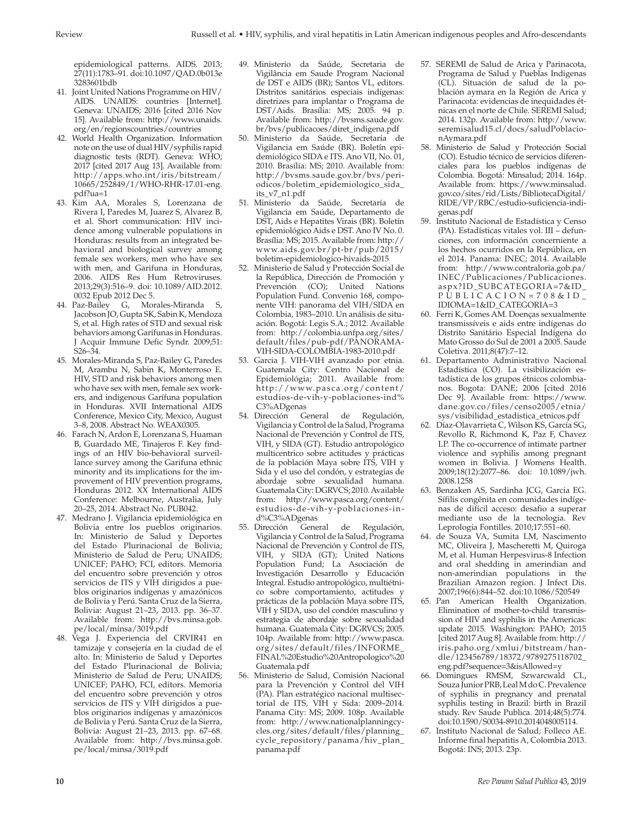epidemiological patterns. AIDS. 2013; 27(11):1783–91. doi:10.1097/QAD.0b013e 3283601bdb

- 41. Joint United Nations Programme on HIV/ AIDS. UNAIDS: countries [Internet]. Geneva: UNAIDS; 2016 [cited 2016 Nov 15]. Available from: [http://www.unaids.](http://www.unaids.org/en/regionscountries/countries) [org/en/regionscountries/countries](http://www.unaids.org/en/regionscountries/countries)
- 42. World Health Organization. Information note on the use of dual HIV/syphilis rapid diagnostic tests (RDT). Geneva: WHO; 2017 [cited 2017 Aug 13]. Available from: [http://apps.who.int/iris/bitstream/](http://apps.who.int/iris/bitstream/10665/252849/1/WHO-RHR-17.01-eng.pdf?ua=1) [10665/252849/1/WHO-RHR-17.01-eng.](http://apps.who.int/iris/bitstream/10665/252849/1/WHO-RHR-17.01-eng.pdf?ua=1) [pdf?ua=1](http://apps.who.int/iris/bitstream/10665/252849/1/WHO-RHR-17.01-eng.pdf?ua=1)
- 43. Kim AA, Morales S, Lorenzana de Rivera I, Paredes M, Juarez S, Alvarez B, et al. Short communication: HIV incidence among vulnerable populations in Honduras: results from an integrated behavioral and biological survey among female sex workers, men who have sex with men, and Garifuna in Honduras, 2006. AIDS Res Hum Retroviruses. 2013;29(3):516–9. doi: 10.1089/AID.2012. 0032 Epub 2012 Dec 5.
- 44. Paz-Bailey G, Morales-Miranda S, Jacobson JO, Gupta SK, Sabin K, Mendoza S, et al. High rates of STD and sexual risk behaviors among Garífunas in Honduras. J Acquir Immune Defic Syndr. 2009;51: S26–34.
- 45. Morales-Miranda S, Paz-Bailey G, Paredes M, Arambu N, Sabin K, Monterroso E. HIV, STD and risk behaviors among men who have sex with men, female sex workers, and indigenous Garífuna population in Honduras. XVII International AIDS Conference, Mexico City, Mexico, August 3–8, 2008. Abstract No. WEAX0305.
- 46. Farach N, Ardon E, Lorenzana S, Huaman B, Guardado ME, Tinajeros F. Key findings of an HIV bio-behavioral surveillance survey among the Garifuna ethnic minority and its implications for the improvement of HIV prevention programs, Honduras 2012. XX International AIDS Conference: Melbourne, Australia, July 20–25, 2014. Abstract No. PUB042.
- 47. Medrano J. Vigilancia epidemiológica en Bolivia entre los pueblos originarios. In: Ministerio de Salud y Deportes del Estado Plurinacional de Bolivia; Ministerio de Salud de Peru; UNAIDS; UNICEF; PAHO; FCI, editors. Memoria del encuentro sobre prevención y otros servicios de ITS y VIH dirigidos a pueblos originarios indígenas y amazónicos de Bolivia y Perú. Santa Cruz de la Sierra, Bolivia: August 21–23, 2013. pp. 36–37. Available from: [http://bvs.minsa.gob.](http://bvs.minsa.gob.pe/local/minsa/3019.pdf) [pe/local/minsa/3019.pdf](http://bvs.minsa.gob.pe/local/minsa/3019.pdf)
- 48. Vega J. Experiencia del CRVIR41 en tamizaje y consejería en la ciudad de el alto. In: Ministerio de Salud y Deportes del Estado Plurinacional de Bolivia; Ministerio de Salud de Peru; UNAIDS; UNICEF; PAHO, FCI, editors. Memoria del encuentro sobre prevención y otros servicios de ITS y VIH dirigidos a pueblos originarios indígenas y amazónicos de Bolivia y Perú. Santa Cruz de la Sierra, Bolivia: August 21–23, 2013. pp. 67–68. Available from: [http://bvs.minsa.gob.](http://bvs.minsa.gob.pe/local/minsa/3019.pdf) [pe/local/minsa/3019.pdf](http://bvs.minsa.gob.pe/local/minsa/3019.pdf)
- 49. Ministerio da Saúde, Secretaria de Vigilância em Saude Program Nacional de DST e AIDS (BR); Santos VL, editors. Distritos sanitários especiais indígenas: diretrizes para implantar o Programa de DST/Aids. Brasília: MS; 2005. 94 p. Available from: [http://bvsms.saude.gov.](http://bvsms.saude.gov.br/bvs/publicacoes/diret_indigena.pdf) [br/bvs/publicacoes/diret\\_indigena.pdf](http://bvsms.saude.gov.br/bvs/publicacoes/diret_indigena.pdf)
- 50. Ministerio da Saúde, Secretaría de Vigilancia em Saúde (BR). Boletín epidemiológico SIDA e ITS. Ano VII, No. 01, 2010. Brasília: MS; 2010. Available from: [http://bvsms.saude.gov.br/bvs/peri](http://bvsms.saude.gov.br/bvs/periodicos/boletim_epidemiologico_sida_its_v7_n1.pdf)[odicos/boletim\\_epidemiologico\\_sida\\_](http://bvsms.saude.gov.br/bvs/periodicos/boletim_epidemiologico_sida_its_v7_n1.pdf) [its\\_v7\\_n1.pdf](http://bvsms.saude.gov.br/bvs/periodicos/boletim_epidemiologico_sida_its_v7_n1.pdf)
- 51. Ministerio da Saúde, Secretaría de Vigilancia em Saúde, Departamento de DST, Aids e Hepatites Virais (BR). Boletín epidemiológico Aids e DST. Ano IV No. 0. Brasília: MS; 2015. Available from: [http://](http://www.aids.gov.br/pt-br/pub/2015/boletim-epidemiologico-hivaids-2015) [www.aids.gov.br/pt-br/pub/2015/](http://www.aids.gov.br/pt-br/pub/2015/boletim-epidemiologico-hivaids-2015) [boletim-epidemiologico-hivaids-2015](http://www.aids.gov.br/pt-br/pub/2015/boletim-epidemiologico-hivaids-2015)
- 52. Ministerio de Salud y Protección Social de la República, Dirección de Promoción y Prevención (CO); United Nations Population Fund. Convenio 168, componente VIH: panorama del VIH/SIDA en Colombia, 1983–2010. Un análisis de situación. Bogotá: Legis S.A.; 2012. Available from: [http://colombia.unfpa.org/sites/](http://colombia.unfpa.org/sites/default/files/pub-pdf/PANORAMA-VIH-SIDA-COLOMBIA-1983-2010.pdf) [default/files/pub-pdf/PANORAMA-](http://colombia.unfpa.org/sites/default/files/pub-pdf/PANORAMA-VIH-SIDA-COLOMBIA-1983-2010.pdf)[VIH-SIDA-COLOMBIA-1983-2010.pdf](http://colombia.unfpa.org/sites/default/files/pub-pdf/PANORAMA-VIH-SIDA-COLOMBIA-1983-2010.pdf)
- 53. Garcia J. VIH-VIH avanzado por etnia. Guatemala City: Centro Nacional de Epidemiológia; 2011. Available from: [http://www.pasca.org/content/](http://www.pasca.org/content/estudios-de-vih-y-poblaciones-ind%C3%ADgenas) [estudios-de-vih-y-poblaciones-ind%](http://www.pasca.org/content/estudios-de-vih-y-poblaciones-ind%C3%ADgenas) [C3%ADgenas](http://www.pasca.org/content/estudios-de-vih-y-poblaciones-ind%C3%ADgenas)
- 54. Dirección General de Regulación, Vigilancia y Control de la Salud, Programa Nacional de Prevención y Control de ITS, VIH, y SIDA (GT). Estudio antropológico multicentrico sobre actitudes y prácticas de la población Maya sobre ITS, VIH y Sida y el uso del condón, y estrategias de abordaje sobre sexualidad humana. Guatemala City: DGRVCS; 2010. Available from: [http://www.pasca.org/content/](http://www.pasca.org/content/estudios-de-vih-y-poblaciones-ind%C3%ADgenas) [estudios-de-vih-y-poblaciones-in](http://www.pasca.org/content/estudios-de-vih-y-poblaciones-ind%C3%ADgenas)[d%C3%ADgenas](http://www.pasca.org/content/estudios-de-vih-y-poblaciones-ind%C3%ADgenas)
- 55. Dirección General de Regulación, Vigilancia y Control de la Salud, Programa Nacional de Prevención y Control de ITS, VIH, y SIDA (GT); United Nations Population Fund; La Asociación de Investigación Desarrollo y Educación Integral. Estudio antropológico, multiétnico sobre comportamiento, actitudes y prácticas de la población Maya sobre ITS, VIH y SIDA, uso del condón masculino y estrategia de abordaje sobre sexualidad humana. Guatemala City: DGRVCS; 2005. 104p. Available from: [http://www.pasca.](http://www.pasca.org/sites/default/files/INFORME_FINAL%20Estudio%20Antropologico%20Guatemala.pdf) [org/sites/default/files/INFORME\\_](http://www.pasca.org/sites/default/files/INFORME_FINAL%20Estudio%20Antropologico%20Guatemala.pdf) [FINAL%20Estudio%20Antropologico%20](http://www.pasca.org/sites/default/files/INFORME_FINAL%20Estudio%20Antropologico%20Guatemala.pdf) [Guatemala.pdf](http://www.pasca.org/sites/default/files/INFORME_FINAL%20Estudio%20Antropologico%20Guatemala.pdf)
- 56. Ministerio de Salud, Comisión Nacional para la Prevención y Control del VIH (PA). Plan estratégico nacional multisectorial de ITS, VIH y Sida: 2009–2014. Panama City: MS; 2009. 108p. Available from: [http://www.nationalplanningcy](http://www.nationalplanningcycles.org/sites/default/files/planning_cycle_repository/panama/hiv_plan_panama.pdf)[cles.org/sites/default/files/planning\\_](http://www.nationalplanningcycles.org/sites/default/files/planning_cycle_repository/panama/hiv_plan_panama.pdf) [cycle\\_repository/panama/hiv\\_plan\\_](http://www.nationalplanningcycles.org/sites/default/files/planning_cycle_repository/panama/hiv_plan_panama.pdf) [panama.pdf](http://www.nationalplanningcycles.org/sites/default/files/planning_cycle_repository/panama/hiv_plan_panama.pdf)
- 57. SEREMI de Salud de Arica y Parinacota, Programa de Salud y Pueblas Indigenas (CL). Situación de salud de la población aymara en la Región de Arica y Parinacota: evidencias de inequidades étnicas en el norte de Chile. SEREMI Salud; 2014. 132p. Available from: [http://www.](http://www.seremisalud15.cl/docs/saludPoblacionAymara.pdf) [seremisalud15.cl/docs/saludPoblacio](http://www.seremisalud15.cl/docs/saludPoblacionAymara.pdf)[nAymara.pdf](http://www.seremisalud15.cl/docs/saludPoblacionAymara.pdf)
- 58. Ministerio de Salud y Protección Social (CO). Estudio técnico de servicios diferenciales para los pueblos indígenas de Colombia. Bogotá: Minsalud; 2014. 164p. Available from: [https://www.minsalud.](https://www.minsalud.gov.co/sites/rid/Lists/BibliotecaDigital/RIDE/VP/RBC/estudio-suficiencia-indigenas.pdf) [gov.co/sites/rid/Lists/BibliotecaDigital/](https://www.minsalud.gov.co/sites/rid/Lists/BibliotecaDigital/RIDE/VP/RBC/estudio-suficiencia-indigenas.pdf) [RIDE/VP/RBC/estudio-suficiencia-indi](https://www.minsalud.gov.co/sites/rid/Lists/BibliotecaDigital/RIDE/VP/RBC/estudio-suficiencia-indigenas.pdf)[genas.pdf](https://www.minsalud.gov.co/sites/rid/Lists/BibliotecaDigital/RIDE/VP/RBC/estudio-suficiencia-indigenas.pdf)
- 59. Instituto Nacional de Estadística y Censo (PA). Estadísticas vitales vol. III – defunciones, con información concerniente a los hechos ocurridos en la República, en el 2014. Panama: INEC; 2014. Available from: [http://www.contraloria.gob.pa/](http://www.contraloria.gob.pa/INEC/Publicaciones/Publicaciones.aspx?ID_SUBCATEGORIA=7&ID_PUBLICACION=708&ID_IDIOMA=1&ID_CATEGORIA=3) [INEC/Publicaciones/Publicaciones.](http://www.contraloria.gob.pa/INEC/Publicaciones/Publicaciones.aspx?ID_SUBCATEGORIA=7&ID_PUBLICACION=708&ID_IDIOMA=1&ID_CATEGORIA=3) [aspx?ID\\_SUBCATEGORIA=7&ID\\_](http://www.contraloria.gob.pa/INEC/Publicaciones/Publicaciones.aspx?ID_SUBCATEGORIA=7&ID_PUBLICACION=708&ID_IDIOMA=1&ID_CATEGORIA=3) [PUBLICACION=708&ID\\_](http://www.contraloria.gob.pa/INEC/Publicaciones/Publicaciones.aspx?ID_SUBCATEGORIA=7&ID_PUBLICACION=708&ID_IDIOMA=1&ID_CATEGORIA=3) [IDIOMA=1&ID\\_CATEGORIA=3](http://www.contraloria.gob.pa/INEC/Publicaciones/Publicaciones.aspx?ID_SUBCATEGORIA=7&ID_PUBLICACION=708&ID_IDIOMA=1&ID_CATEGORIA=3)
- 60. Ferri K, Gomes AM. Doenças sexualmente transmissíveis e aids entre indígenas do Distrito Sanitário Especial Indígena do Mato Grosso do Sul de 2001 a 2005. Saude Coletiva. 2011;8(47):7–12.
- 61. Departamento Administrativo Nacional Estadística (CO). La visibilización estadística de los grupos étnicos colombianos. Bogota: DANE; 2006 [cited 2016 Dec 9]. Available from: [https://www.](https://www.dane.gov.co/files/censo2005/etnia/sys/visibilidad_estadistica_etnicos.pdf) [dane.gov.co/files/censo2005/etnia/](https://www.dane.gov.co/files/censo2005/etnia/sys/visibilidad_estadistica_etnicos.pdf) [sys/visibilidad\\_estadistica\\_etnicos.pdf](https://www.dane.gov.co/files/censo2005/etnia/sys/visibilidad_estadistica_etnicos.pdf)
- 62. Díaz-Olavarrieta C, Wilson KS, García SG, Revollo R, Richmond K, Paz F, Chavez LP. The co-occurrence of intimate partner violence and syphilis among pregnant women in Bolivia. J Womens Health. 2009;18(12):2077–86. doi: 10.1089/jwh. 2008.1258
- 63. Benzaken AS, Sardinha JCG, Garcia EG. Sífilis congênita en comunidades indígenas de difícil acceso: desafio a superar mediante uso de la tecnologia. Rev Leprologia Fontilles. 2010;17:551–60.
- 64. de Souza VA, Sumita LM, Nascimento MC, Oliveira J, Mascheretti M, Quiroga M, et al. Human Herpesvirus-8 Infection and oral shedding in amerindian and non-amerindian populations in the Brazilian Amazon region. J Infect Dis. 2007;196(6):844–52. doi:10.1086/520549
- 65. Pan American Health Organization. Elimination of mother-to-child transmission of HIV and syphilis in the Americas: update 2015. Washington: PAHO; 2015 [cited 2017 Aug 8]. Available from: [http://](http://iris.paho.org/xmlui/bitstream/handle/123456789/18372/9789275118702_eng.pdf?sequence=3&isAllowed=y) [iris.paho.org/xmlui/bitstream/han](http://iris.paho.org/xmlui/bitstream/handle/123456789/18372/9789275118702_eng.pdf?sequence=3&isAllowed=y)[dle/123456789/18372/9789275118702\\_](http://iris.paho.org/xmlui/bitstream/handle/123456789/18372/9789275118702_eng.pdf?sequence=3&isAllowed=y) [eng.pdf?sequence=3&isAllowed=y](http://iris.paho.org/xmlui/bitstream/handle/123456789/18372/9789275118702_eng.pdf?sequence=3&isAllowed=y)
- 66. Domingues RMSM, Szwarcwald CL, Souza Junior PRB, Leal M do C. Prevalence of syphilis in pregnancy and prenatal syphilis testing in Brazil: birth in Brazil study. Rev Saude Publica. 2014;48(5):774. doi:10.1590/S0034-8910.2014048005114.
- 67. Instituto Nacional de Salud; Folleco AE. Informe final hepatitis A, Colombia 2013. Bogotá: INS; 2013. 23p.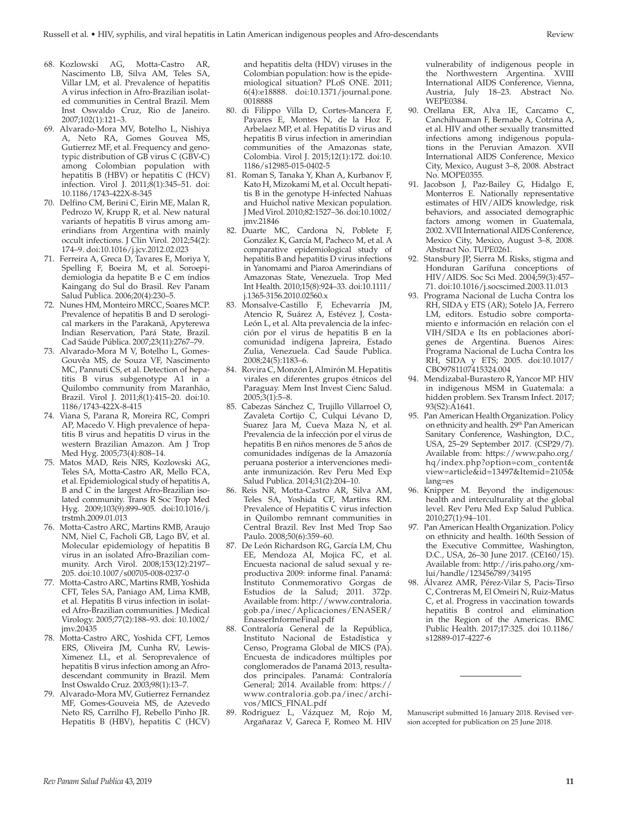- 68. Kozlowski AG, Motta-Castro AR, Nascimento LB, Silva AM, Teles SA, Villar LM, et al. Prevalence of hepatitis A virus infection in Afro-Brazilian isolated communities in Central Brazil. Mem Inst Oswaldo Cruz, Rio de Janeiro. 2007;102(1):121–3.
- 69. Alvarado-Mora MV, Botelho L, Nishiya A, Neto RA, Gomes Gouvea MS, Gutierrez MF, et al. Frequency and genotypic distribution of GB virus C (GBV-C) among Colombian population with hepatitis B (HBV) or hepatitis C (HCV) infection. Virol J. 2011;8(1):345–51. doi: 10.1186/1743-422X-8-345
- 70. Delfino CM, Berini C, Eirin ME, Malan R, Pedrozo W, Krupp R, et al. New natural variants of hepatitis B virus among amerindians from Argentina with mainly occult infections. J Clin Virol. 2012;54(2): 174–9. doi:10.1016/j.jcv.2012.02.023
- 71. Ferreira A, Greca D, Tavares E, Moriya Y, Spelling F, Boeira M, et al. Soroepidemiologia da hepatite B e C em índios Kaingang do Sul do Brasil. Rev Panam Salud Publica. 2006;20(4):230–5.
- 72. Nunes HM, Monteiro MRCC, Soares MCP. Prevalence of hepatitis B and D serological markers in the Parakanã, Apyterewa Indian Reservation, Pará State, Brazil. Cad Saúde Pública. 2007;23(11):2767–79.
- 73. Alvarado-Mora M V, Botelho L, Gomes-Gouvêa MS, de Souza VF, Nascimento MC, Pannuti CS, et al. Detection of hepatitis B virus subgenotype A1 in a Quilombo community from Maranhão, Brazil. Virol J. 2011;8(1):415–20. doi:10. 1186/1743-422X-8-415
- 74. Viana S, Parana R, Moreira RC, Compri AP, Macedo V. High prevalence of hepatitis B virus and hepatitis D virus in the western Brazilian Amazon. Am J Trop Med Hyg. 2005;73(4):808–14.
- 75. Matos MAD, Reis NRS, Kozlowski AG, Teles SA, Motta-Castro AR, Mello FCA, et al. Epidemiological study of hepatitis A, B and C in the largest Afro-Brazilian isolated community. Trans R Soc Trop Med Hyg. 2009;103(9):899–905. doi:10.1016/j. trstmh.2009.01.013
- 76. Motta-Castro ARC, Martins RMB, Araujo NM, Niel C, Facholi GB, Lago BV, et al. Molecular epidemiology of hepatitis B virus in an isolated Afro-Brazilian community. Arch Virol. 2008;153(12):2197– 205. doi:10.1007/s00705-008-0237-0
- 77. Motta-Castro ARC, Martins RMB, Yoshida CFT, Teles SA, Paniago AM, Lima KMB, et al. Hepatitis B virus infection in isolated Afro-Brazilian communities. J Medical Virology. 2005;77(2):188–93. doi: 10.1002/ jmv.20435
- 78. Motta-Castro ARC, Yoshida CFT, Lemos ERS, Oliveira JM, Cunha RV, Lewis-Ximenez LL, et al. Seroprevalence of hepatitis B virus infection among an Afrodescendant community in Brazil. Mem Inst Oswaldo Cruz. 2003;98(1):13–7.
- 79. Alvarado-Mora MV, Gutierrez Fernandez MF, Gomes-Gouveia MS, de Azevedo Neto RS, Carrilho FJ, Rebello Pinho JR. Hepatitis B (HBV), hepatitis C (HCV)

and hepatitis delta (HDV) viruses in the Colombian population: how is the epidemiological situation? PLoS ONE. 2011; 6(4):e18888. doi:10.1371/journal.pone. 0018888

- 80. di Filippo Villa D, Cortes-Mancera F, Payares E, Montes N, de la Hoz F, Arbelaez MP, et al. Hepatitis D virus and hepatitis B virus infection in amerindian communities of the Amazonas state, Colombia. Virol J. 2015;12(1):172. doi:10. 1186/s12985-015-0402-5
- 81. Roman S, Tanaka Y, Khan A, Kurbanov F, Kato H, Mizokami M, et al. Occult hepatitis B in the genotype H-infected Nahuas and Huichol native Mexican population. J Med Virol. 2010;82:1527–36. doi:10.1002/ jmv.21846
- 82. Duarte MC, Cardona N, Poblete F, González K, García M, Pacheco M, et al. A comparative epidemiological study of hepatitis B and hepatitis D virus infections in Yanomami and Piaroa Amerindians of Amazonas State, Venezuela. Trop Med Int Health. 2010;15(8):924–33. doi:10.1111/ j.1365-3156.2010.02560.x
- 83. Monsalve-Castillo F, Echevarría JM, Atencio R, Suárez A, Estévez J, Costa-León L, et al. Alta prevalencia de la infección por el virus de hepatitis B en la comunidad indígena Japreira, Estado Zulia, Venezuela. Cad Saude Publica. 2008;24(5):1183–6.
- 84. Rovira C, Monzón I, Almirón M. Hepatitis virales en diferentes grupos étnicos del Paraguay. Mem Inst Invest Cienc Salud. 2005;3(1):5–8.
- 85. Cabezas Sánchez C, Trujillo Villarroel O, Zavaleta Cortijo C, Culqui Lévano D, Suarez Jara M, Cueva Maza N, et al. Prevalencia de la infección por el virus de hepatitis B en niños menores de 5 años de comunidades indígenas de la Amazonía peruana posterior a intervenciones mediante inmunización. Rev Peru Med Exp Salud Publica. 2014;31(2):204–10.
- 86. Reis NR, Motta-Castro AR, Silva AM, Teles SA, Yoshida CF, Martins RM. Prevalence of Hepatitis C virus infection in Quilombo remnant communities in Central Brazil. Rev Inst Med Trop Sao Paulo. 2008;50(6):359–60.
- 87. De León Richardson RG, García LM, Chu EE, Mendoza AI, Mojica FC, et al. Encuesta nacional de salud sexual y reproductiva 2009: informe final. Panamá: Instituto Conmemorativo Gorgas de Estudios de la Salud; 2011. 372p. Available from: [http://www.contraloria.](http://www.contraloria.gob.pa/inec/Aplicaciones/ENASER/EnasserInformeFinal.pdf) [gob.pa/inec/Aplicaciones/ENASER/](http://www.contraloria.gob.pa/inec/Aplicaciones/ENASER/EnasserInformeFinal.pdf) [EnasserInformeFinal.pdf](http://www.contraloria.gob.pa/inec/Aplicaciones/ENASER/EnasserInformeFinal.pdf)
- 88. Contraloría General de la República, Instituto Nacional de Estadística y Censo, Programa Global de MICS (PA). Encuesta de indicadores múltiples por conglomerados de Panamá 2013, resultados principales. Panamá: Contraloría General; 2014. Available from: [https://](https://www.contraloria.gob.pa/inec/archivos/MICS_FINAL.pdf) [www.contraloria.gob.pa/inec/archi](https://www.contraloria.gob.pa/inec/archivos/MICS_FINAL.pdf)[vos/MICS\\_FINAL.pdf](https://www.contraloria.gob.pa/inec/archivos/MICS_FINAL.pdf)
- 89. Rodriguez L, Vázquez M, Rojo M, Argañaraz V, Gareca F, Romeo M. HIV

vulnerability of indigenous people in the Northwestern Argentina. XVIII International AIDS Conference, Vienna, Austria, July 18–23. Abstract No. WEPE0384.

- 90. Orellana ER, Alva IE, Carcamo C, Canchihuaman F, Bernabe A, Cotrina A, et al. HIV and other sexually transmitted infections among indigenous populations in the Peruvian Amazon. XVII International AIDS Conference, Mexico City, Mexico, August 3–8, 2008. Abstract No. MOPE0355.
- 91. Jacobson J, Paz-Bailey G, Hidalgo E, Monterros E. Nationally representative estimates of HIV/AIDS knowledge, risk behaviors, and associated demographic factors among women in Guatemala, 2002. XVII International AIDS Conference, Mexico City, Mexico, August 3–8, 2008. Abstract No. TUPE0261.
- 92. Stansbury JP, Sierra M. Risks, stigma and Honduran Garífuna conceptions of HIV/AIDS. Soc Sci Med. 2004;59(3):457– 71. doi:10.1016/j.socscimed.2003.11.013
- 93. Programa Nacional de Lucha Contra los RH, SIDA y ETS (AR); Sotelo JA, Ferrero LM, editors. Estudio sobre comportamiento e información en relación con el VIH/SIDA e Its en poblaciones aborígenes de Argentina. Buenos Aires: Programa Nacional de Lucha Contra los RH, SIDA y ETS; 2005. doi:10.1017/ CBO9781107415324.004
- 94. Mendizabal-Burastero R, Yancor MP. HIV in indigenous MSM in Guatemala: a hidden problem. Sex Transm Infect. 2017; 93(S2):A1641.
- 95. Pan American Health Organization. Policy on ethnicity and health. 29<sup>th</sup> Pan American Sanitary Conference, Washington, D.C., USA, 25–29 September 2017. (CSP29/7). Available from: [https://www.paho.org/](https://www.paho.org/hq/index.php?option=com_content&view=article&id=13497&Itemid=2105&lang=es) [hq/index.php?option=com\\_content&](https://www.paho.org/hq/index.php?option=com_content&view=article&id=13497&Itemid=2105&lang=es) [view=article&id=13497&Itemid=2105&](https://www.paho.org/hq/index.php?option=com_content&view=article&id=13497&Itemid=2105&lang=es) [lang=es](https://www.paho.org/hq/index.php?option=com_content&view=article&id=13497&Itemid=2105&lang=es)
- 96. Knipper M. Beyond the indigenous: health and interculturality at the global level. Rev Peru Med Exp Salud Publica. 2010;27(1):94–101.
- 97. Pan American Health Organization. Policy on ethnicity and health. 160th Session of the Executive Committee, Washington, D.C., USA, 26-30 June 2017. (CE160/15). Available from: [http://iris.paho.org/xm](http://iris.paho.org/xmlui/handle/123456789/34195)[lui/handle/123456789/34195](http://iris.paho.org/xmlui/handle/123456789/34195)
- 98. Álvarez AMR, Pérez-Vilar S, Pacis-Tirso C, Contreras M, El Omeiri N, Ruiz-Matus C, et al. Progress in vaccination towards hepatitis B control and elimination in the Region of the Americas. BMC Public Health. 2017;17:325. doi 10.1186/ s12889-017-4227-6

Manuscript submitted 16 January 2018. Revised version accepted for publication on 25 June 2018.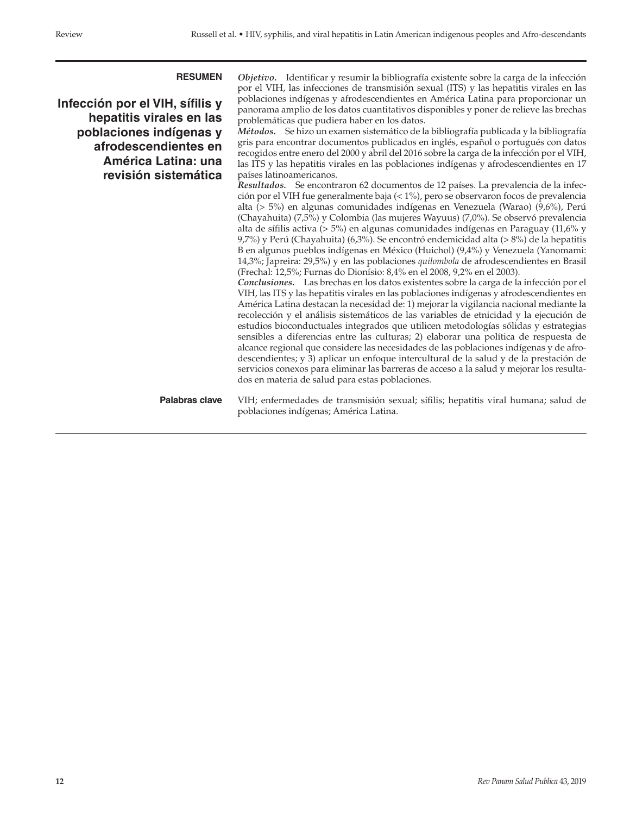**Infección por el VIH, sífilis y hepatitis virales en las poblaciones indígenas y afrodescendientes en América Latina: una revisión sistemática**

**RESUMEN** *Objetivo.* Identificar y resumir la bibliografía existente sobre la carga de la infección por el VIH, las infecciones de transmisión sexual (ITS) y las hepatitis virales en las poblaciones indígenas y afrodescendientes en América Latina para proporcionar un panorama amplio de los datos cuantitativos disponibles y poner de relieve las brechas problemáticas que pudiera haber en los datos.

*Métodos.* Se hizo un examen sistemático de la bibliografía publicada y la bibliografía gris para encontrar documentos publicados en inglés, español o portugués con datos recogidos entre enero del 2000 y abril del 2016 sobre la carga de la infección por el VIH, las ITS y las hepatitis virales en las poblaciones indígenas y afrodescendientes en 17 países latinoamericanos.

*Resultados.* Se encontraron 62 documentos de 12 países. La prevalencia de la infección por el VIH fue generalmente baja (< 1%), pero se observaron focos de prevalencia alta (> 5%) en algunas comunidades indígenas en Venezuela (Warao) (9,6%), Perú (Chayahuita) (7,5%) y Colombia (las mujeres Wayuus) (7,0%). Se observó prevalencia alta de sífilis activa (> 5%) en algunas comunidades indígenas en Paraguay (11,6% y 9,7%) y Perú (Chayahuita) (6,3%). Se encontró endemicidad alta (> 8%) de la hepatitis B en algunos pueblos indígenas en México (Huichol) (9,4%) y Venezuela (Yanomami: 14,3%; Japreira: 29,5%) y en las poblaciones *quilombola* de afrodescendientes en Brasil (Frechal: 12,5%; Furnas do Dionísio: 8,4% en el 2008, 9,2% en el 2003).

*Conclusiones.* Las brechas en los datos existentes sobre la carga de la infección por el VIH, las ITS y las hepatitis virales en las poblaciones indígenas y afrodescendientes en América Latina destacan la necesidad de: 1) mejorar la vigilancia nacional mediante la recolección y el análisis sistemáticos de las variables de etnicidad y la ejecución de estudios bioconductuales integrados que utilicen metodologías sólidas y estrategias sensibles a diferencias entre las culturas; 2) elaborar una política de respuesta de alcance regional que considere las necesidades de las poblaciones indígenas y de afrodescendientes; y 3) aplicar un enfoque intercultural de la salud y de la prestación de servicios conexos para eliminar las barreras de acceso a la salud y mejorar los resultados en materia de salud para estas poblaciones.

**Palabras clave** VIH; enfermedades de transmisión sexual; sífilis; hepatitis viral humana; salud de poblaciones indígenas; América Latina.